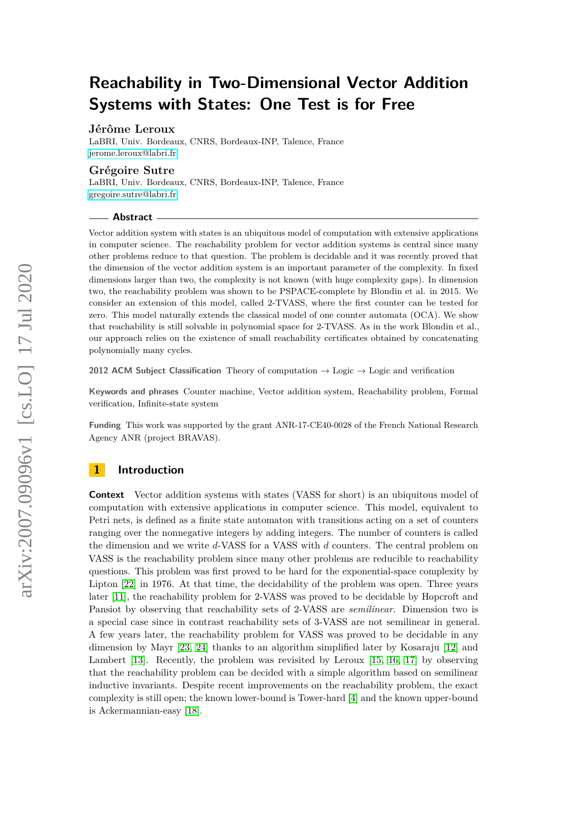# **Reachability in Two-Dimensional Vector Addition Systems with States: One Test is for Free**

# **Jérôme Leroux**

LaBRI, Univ. Bordeaux, CNRS, Bordeaux-INP, Talence, France [jerome.leroux@labri.fr](mailto:jerome.leroux@labri.fr)

# **Grégoire Sutre**

LaBRI, Univ. Bordeaux, CNRS, Bordeaux-INP, Talence, France [gregoire.sutre@labri.fr](mailto:gregoire.sutre@labri.fr)

#### **Abstract**

Vector addition system with states is an ubiquitous model of computation with extensive applications in computer science. The reachability problem for vector addition systems is central since many other problems reduce to that question. The problem is decidable and it was recently proved that the dimension of the vector addition system is an important parameter of the complexity. In fixed dimensions larger than two, the complexity is not known (with huge complexity gaps). In dimension two, the reachability problem was shown to be PSPACE-complete by Blondin et al. in 2015. We consider an extension of this model, called 2-TVASS, where the first counter can be tested for zero. This model naturally extends the classical model of one counter automata (OCA). We show that reachability is still solvable in polynomial space for 2-TVASS. As in the work Blondin et al., our approach relies on the existence of small reachability certificates obtained by concatenating polynomially many cycles.

**2012 ACM Subject Classification** Theory of computation → Logic → Logic and verification

**Keywords and phrases** Counter machine, Vector addition system, Reachability problem, Formal verification, Infinite-state system

**Funding** This work was supported by the grant ANR-17-CE40-0028 of the French National Research Agency ANR (project BRAVAS).

# **1 Introduction**

**Context** Vector addition systems with states (VASS for short) is an ubiquitous model of computation with extensive applications in computer science. This model, equivalent to Petri nets, is defined as a finite state automaton with transitions acting on a set of counters ranging over the nonnegative integers by adding integers. The number of counters is called the dimension and we write *d*-VASS for a VASS with *d* counters. The central problem on VASS is the reachability problem since many other problems are reducible to reachability questions. This problem was first proved to be hard for the exponential-space complexity by Lipton [\[22\]](#page-15-0) in 1976. At that time, the decidability of the problem was open. Three years later [\[11\]](#page-15-1), the reachability problem for 2-VASS was proved to be decidable by Hopcroft and Pansiot by observing that reachability sets of 2-VASS are *semilinear*. Dimension two is a special case since in contrast reachability sets of 3-VASS are not semilinear in general. A few years later, the reachability problem for VASS was proved to be decidable in any dimension by Mayr [\[23,](#page-15-2) [24\]](#page-16-0) thanks to an algorithm simplified later by Kosaraju [\[12\]](#page-15-3) and Lambert [\[13\]](#page-15-4). Recently, the problem was revisited by Leroux [\[15,](#page-15-5) [16,](#page-15-6) [17\]](#page-15-7) by observing that the reachability problem can be decided with a simple algorithm based on semilinear inductive invariants. Despite recent improvements on the reachability problem, the exact complexity is still open; the known lower-bound is Tower-hard [\[4\]](#page-15-8) and the known upper-bound is Ackermannian-easy [\[18\]](#page-15-9).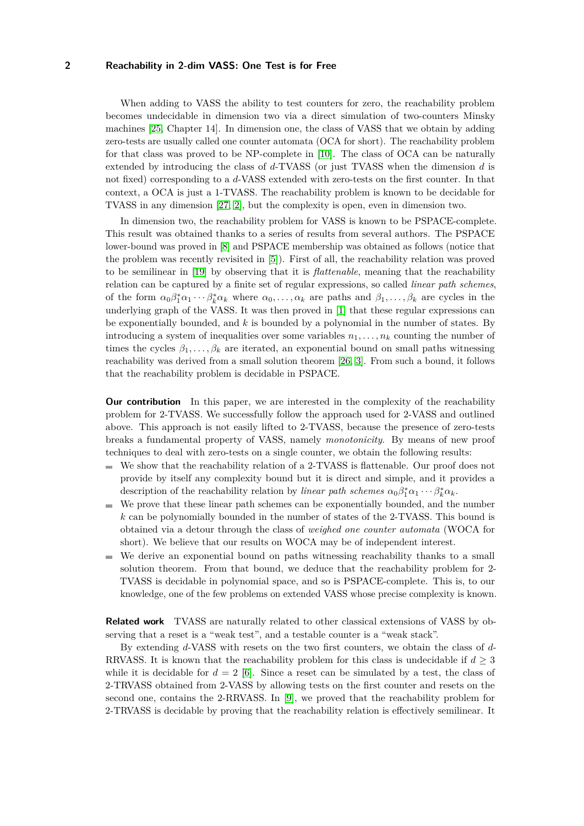When adding to VASS the ability to test counters for zero, the reachability problem becomes undecidable in dimension two via a direct simulation of two-counters Minsky machines [\[25,](#page-16-1) Chapter 14]. In dimension one, the class of VASS that we obtain by adding zero-tests are usually called one counter automata (OCA for short). The reachability problem for that class was proved to be NP-complete in [\[10\]](#page-15-10). The class of OCA can be naturally extended by introducing the class of *d*-TVASS (or just TVASS when the dimension *d* is not fixed) corresponding to a *d*-VASS extended with zero-tests on the first counter. In that context, a OCA is just a 1-TVASS. The reachability problem is known to be decidable for TVASS in any dimension [\[27,](#page-16-2) [2\]](#page-15-11), but the complexity is open, even in dimension two.

In dimension two, the reachability problem for VASS is known to be PSPACE-complete. This result was obtained thanks to a series of results from several authors. The PSPACE lower-bound was proved in [\[8\]](#page-15-12) and PSPACE membership was obtained as follows (notice that the problem was recently revisited in [\[5\]](#page-15-13)). First of all, the reachability relation was proved to be semilinear in [\[19\]](#page-15-14) by observing that it is *flattenable*, meaning that the reachability relation can be captured by a finite set of regular expressions, so called *linear path schemes*, of the form  $\alpha_0\beta_1^*\alpha_1\cdots\beta_k^*\alpha_k$  where  $\alpha_0,\ldots,\alpha_k$  are paths and  $\beta_1,\ldots,\beta_k$  are cycles in the underlying graph of the VASS. It was then proved in [\[1\]](#page-15-15) that these regular expressions can be exponentially bounded, and *k* is bounded by a polynomial in the number of states. By introducing a system of inequalities over some variables  $n_1, \ldots, n_k$  counting the number of times the cycles  $\beta_1, \ldots, \beta_k$  are iterated, an exponential bound on small paths witnessing reachability was derived from a small solution theorem [\[26,](#page-16-3) [3\]](#page-15-16). From such a bound, it follows that the reachability problem is decidable in PSPACE.

**Our contribution** In this paper, we are interested in the complexity of the reachability problem for 2-TVASS. We successfully follow the approach used for 2-VASS and outlined above. This approach is not easily lifted to 2-TVASS, because the presence of zero-tests breaks a fundamental property of VASS, namely *monotonicity*. By means of new proof techniques to deal with zero-tests on a single counter, we obtain the following results:

- We show that the reachability relation of a 2-TVASS is flattenable. Our proof does not provide by itself any complexity bound but it is direct and simple, and it provides a description of the reachability relation by *linear path schemes*  $\alpha_0 \beta_1^* \alpha_1 \cdots \beta_k^* \alpha_k$ .
- We prove that these linear path schemes can be exponentially bounded, and the number  $\mathcal{L}_{\mathcal{A}}$ *k* can be polynomially bounded in the number of states of the 2-TVASS. This bound is obtained via a detour through the class of *weighed one counter automata* (WOCA for short). We believe that our results on WOCA may be of independent interest.
- $\blacksquare$  We derive an exponential bound on paths witnessing reachability thanks to a small solution theorem. From that bound, we deduce that the reachability problem for 2- TVASS is decidable in polynomial space, and so is PSPACE-complete. This is, to our knowledge, one of the few problems on extended VASS whose precise complexity is known.

**Related work** TVASS are naturally related to other classical extensions of VASS by observing that a reset is a "weak test", and a testable counter is a "weak stack".

By extending *d*-VASS with resets on the two first counters, we obtain the class of *d*-RRVASS. It is known that the reachability problem for this class is undecidable if  $d \geq 3$ while it is decidable for  $d = 2$  [\[6\]](#page-15-17). Since a reset can be simulated by a test, the class of 2-TRVASS obtained from 2-VASS by allowing tests on the first counter and resets on the second one, contains the 2-RRVASS. In [\[9\]](#page-15-18), we proved that the reachability problem for 2-TRVASS is decidable by proving that the reachability relation is effectively semilinear. It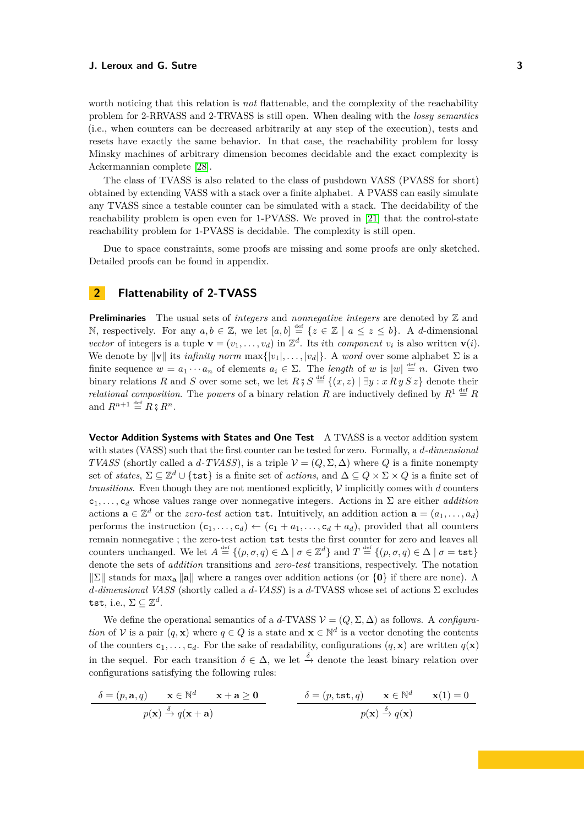worth noticing that this relation is *not* flattenable, and the complexity of the reachability problem for 2-RRVASS and 2-TRVASS is still open. When dealing with the *lossy semantics* (i.e., when counters can be decreased arbitrarily at any step of the execution), tests and resets have exactly the same behavior. In that case, the reachability problem for lossy Minsky machines of arbitrary dimension becomes decidable and the exact complexity is Ackermannian complete [\[28\]](#page-16-4).

The class of TVASS is also related to the class of pushdown VASS (PVASS for short) obtained by extending VASS with a stack over a finite alphabet. A PVASS can easily simulate any TVASS since a testable counter can be simulated with a stack. The decidability of the reachability problem is open even for 1-PVASS. We proved in [\[21\]](#page-15-19) that the control-state reachability problem for 1-PVASS is decidable. The complexity is still open.

Due to space constraints, some proofs are missing and some proofs are only sketched. Detailed proofs can be found in appendix.

# <span id="page-2-0"></span>**2 Flattenability of 2-TVASS**

**Preliminaries** The usual sets of *integers* and *nonnegative integers* are denoted by Z and N, respectively. For any  $a, b \in \mathbb{Z}$ , we let  $[a, b] \stackrel{\text{def}}{=} \{z \in \mathbb{Z} \mid a \leq z \leq b\}$ . A *d*-dimensional *vector* of integers is a tuple  $\mathbf{v} = (v_1, \dots, v_d)$  in  $\mathbb{Z}^d$ . Its *i*th *component*  $v_i$  is also written  $\mathbf{v}(i)$ . We denote by  $\|\mathbf{v}\|$  its *infinity norm*  $\max\{|v_1|, \ldots, |v_d|\}$ . A *word* over some alphabet  $\Sigma$  is a finite sequence  $w = a_1 \cdots a_n$  of elements  $a_i \in \Sigma$ . The *length* of *w* is  $|w| \stackrel{\text{def}}{=} n$ . Given two binary relations *R* and *S* over some set, we let  $R \, \mathcal{G} \, S \stackrel{\text{def}}{=} \{ (x, z) \mid \exists y : x \, R \, y \, S \, z \}$  denote their *relational composition*. The *powers* of a binary relation R are inductively defined by  $R^1 \stackrel{\text{def}}{=} R$ and  $R^{n+1} \stackrel{\text{def}}{=} R \hat{=} R^n$ .

**Vector Addition Systems with States and One Test** A TVASS is a vector addition system with states (VASS) such that the first counter can be tested for zero. Formally, a *d-dimensional TVASS* (shortly called a *d*-*TVASS*), is a triple  $\mathcal{V} = (Q, \Sigma, \Delta)$  where *Q* is a finite nonempty set of *states*,  $\Sigma \subseteq \mathbb{Z}^d \cup \{ \texttt{tst} \}$  is a finite set of *actions*, and  $\Delta \subseteq Q \times \Sigma \times Q$  is a finite set of *transitions*. Even though they are not mentioned explicitly,  $V$  implicitly comes with  $d$  counters c1*, . . . ,* c*<sup>d</sup>* whose values range over nonnegative integers. Actions in Σ are either *addition* actions  $\mathbf{a} \in \mathbb{Z}^d$  or the *zero-test* action tst. Intuitively, an addition action  $\mathbf{a} = (a_1, \ldots, a_d)$ performs the instruction  $(c_1, \ldots, c_d) \leftarrow (c_1 + a_1, \ldots, c_d + a_d)$ , provided that all counters remain nonnegative ; the zero-test action tst tests the first counter for zero and leaves all counters unchanged. We let  $A \stackrel{\text{def}}{=} \{(p, \sigma, q) \in \Delta \mid \sigma \in \mathbb{Z}^d\}$  and  $T \stackrel{\text{def}}{=} \{(p, \sigma, q) \in \Delta \mid \sigma = \texttt{tst}\}$ denote the sets of *addition* transitions and *zero-test* transitions, respectively. The notation  $\|\Sigma\|$  stands for max<sub>a</sub>  $\|\mathbf{a}\|$  where **a** ranges over addition actions (or  $\{0\}$ ) if there are none). A *d-dimensional VASS* (shortly called a *d-VASS*) is a *d*-TVASS whose set of actions Σ excludes tst, i.e.,  $\Sigma \subseteq \mathbb{Z}^d$ .

We define the operational semantics of a *d*-TVASS  $\mathcal{V} = (Q, \Sigma, \Delta)$  as follows. A *configuration* of V is a pair  $(q, \mathbf{x})$  where  $q \in Q$  is a state and  $\mathbf{x} \in \mathbb{N}^d$  is a vector denoting the contents of the counters  $c_1, \ldots, c_d$ . For the sake of readability, configurations  $(q, \mathbf{x})$  are written  $q(\mathbf{x})$ in the sequel. For each transition  $\delta \in \Delta$ , we let  $\stackrel{\delta}{\rightarrow}$  denote the least binary relation over configurations satisfying the following rules:

$$
\begin{array}{c|c}\n\delta = (p, \mathbf{a}, q) & \mathbf{x} \in \mathbb{N}^d & \mathbf{x} + \mathbf{a} \ge \mathbf{0} \\
p(\mathbf{x}) \xrightarrow{\delta} q(\mathbf{x} + \mathbf{a}) & \rho(\mathbf{x}) \xrightarrow{\delta} q(\mathbf{x}) & p(\mathbf{x}) \xrightarrow{\delta} q(\mathbf{x})\n\end{array}
$$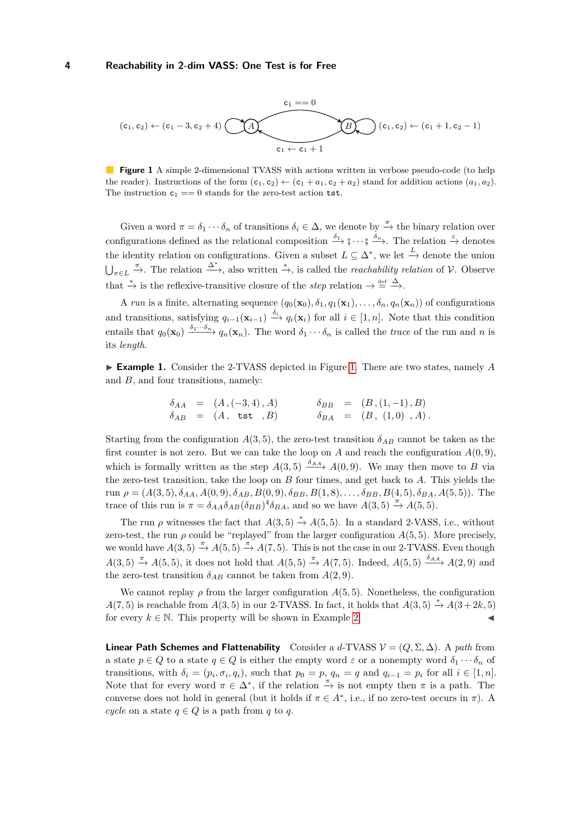<span id="page-3-0"></span>
$$
(c_1,c_2) \leftarrow (c_1-3,c_2+4) \underbrace{(c_1+c_1+1)}_{c_1 \leftarrow c_1+1} \underbrace{(c_1,c_2) \leftarrow (c_1+1,c_2-1)}_{c_1 \leftarrow c_1+1}
$$

**Figure 1** A simple 2-dimensional TVASS with actions written in verbose pseudo-code (to help the reader). Instructions of the form  $(c_1, c_2) \leftarrow (c_1 + a_1, c_2 + a_2)$  stand for addition actions  $(a_1, a_2)$ . The instruction  $c_1 == 0$  stands for the zero-test action tst.

Given a word  $\pi = \delta_1 \cdots \delta_n$  of transitions  $\delta_i \in \Delta$ , we denote by  $\stackrel{\pi}{\rightarrow}$  the binary relation over configurations defined as the relational composition  $\frac{\delta_1}{\rightarrow}$ ;  $\cdots$ ,  $\frac{\delta_n}{\rightarrow}$ . The relation  $\frac{\varepsilon}{\rightarrow}$  denotes the identity relation on configurations. Given a subset  $L \subseteq \Delta^*$ , we let  $\stackrel{L}{\rightarrow}$  denote the union  $\bigcup_{\pi \in L} \xrightarrow{\pi}$ . The relation  $\stackrel{\Delta^*}{\longrightarrow}$ , also written  $\stackrel{*}{\rightarrow}$ , is called the *reachability relation* of V. Observe that  $\stackrel{*}{\to}$  is the reflexive-transitive closure of the *step* relation  $\rightarrow \stackrel{\text{def}}{=} \stackrel{\Delta}{\rightarrow}$ .

A *run* is a finite, alternating sequence  $(q_0(\mathbf{x}_0), \delta_1, q_1(\mathbf{x}_1), \ldots, \delta_n, q_n(\mathbf{x}_n))$  of configurations and transitions, satisfying  $q_{i-1}(\mathbf{x}_{i-1}) \stackrel{\delta_i}{\longrightarrow} q_i(\mathbf{x}_i)$  for all  $i \in [1, n]$ . Note that this condition entails that  $q_0(\mathbf{x}_0) \xrightarrow{\delta_1 \cdots \delta_n} q_n(\mathbf{x}_n)$ . The word  $\delta_1 \cdots \delta_n$  is called the *trace* of the run and *n* is its *length*.

<span id="page-3-1"></span>► **Example [1.](#page-3-0)** Consider the 2-TVASS depicted in Figure 1. There are two states, namely A and *B*, and four transitions, namely:

$$
\begin{array}{rcl}\n\delta_{AA} & = & (A, (-3,4), A) \\
\delta_{AB} & = & (A, \text{ tst }, B) \\
\delta_{BA} & = & (B, (1,-1), B) \\
\end{array}
$$

Starting from the configuration  $A(3, 5)$ , the zero-test transition  $\delta_{AB}$  cannot be taken as the first counter is not zero. But we can take the loop on  $A$  and reach the configuration  $A(0,9)$ , which is formally written as the step  $A(3,5) \xrightarrow{\delta_{AA}} A(0,9)$ . We may then move to *B* via the zero-test transition, take the loop on *B* four times, and get back to *A*. This yields the run  $\rho = (A(3,5), \delta_{AA}, A(0,9), \delta_{AB}, B(0,9), \delta_{BB}, B(1,8), \ldots, \delta_{BB}, B(4,5), \delta_{BA}, A(5,5))$ . The trace of this run is  $\pi = \delta_{AA}\delta_{AB}(\delta_{BB})^4\delta_{BA}$ , and so we have  $A(3,5) \stackrel{\pi}{\rightarrow} A(5,5)$ .

The run *ρ* witnesses the fact that  $A(3,5) \stackrel{*}{\rightarrow} A(5,5)$ . In a standard 2-VASS, i.e., without zero-test, the run  $\rho$  could be "replayed" from the larger configuration  $A(5,5)$ . More precisely, we would have  $A(3,5) \stackrel{\pi}{\rightarrow} A(5,5) \stackrel{\pi}{\rightarrow} A(7,5)$ . This is not the case in our 2-TVASS. Even though *A*(3*,* 5)  $\stackrel{\pi}{\to}$  *A*(5*,* 5), it does not hold that *A*(5*,* 5)  $\stackrel{\pi}{\to}$  *A*(7*,* 5). Indeed, *A*(5*,* 5)  $\stackrel{\delta_{AA}}{\to}$  *A*(2*,* 9) and the zero-test transition  $\delta_{AB}$  cannot be taken from  $A(2,9)$ .

We cannot replay  $\rho$  from the larger configuration  $A(5,5)$ . Nonetheless, the configuration *A*(7*,* 5) is reachable from *A*(3*,* 5) in our 2-TVASS. In fact, it holds that *A*(3*,* 5)  $\stackrel{*}{\rightarrow}$  *A*(3+2*k,* 5) for every  $k \in \mathbb{N}$ . This property will be shown in Example [2.](#page-4-0)

**Linear Path Schemes and Flattenability** Consider a *d*-TVASS  $V = (Q, \Sigma, \Delta)$ . A *path* from a state  $p \in Q$  to a state  $q \in Q$  is either the empty word  $\varepsilon$  or a nonempty word  $\delta_1 \cdots \delta_n$  of transitions, with  $\delta_i = (p_i, \sigma_i, q_i)$ , such that  $p_0 = p$ ,  $q_n = q$  and  $q_{i-1} = p_i$  for all  $i \in [1, n]$ . Note that for every word  $\pi \in \Delta^*$ , if the relation  $\frac{\pi}{\Delta}$  is not empty then  $\pi$  is a path. The converse does not hold in general (but it holds if  $\pi \in A^*$ , i.e., if no zero-test occurs in  $\pi$ ). A *cycle* on a state  $q \in Q$  is a path from  $q$  to  $q$ .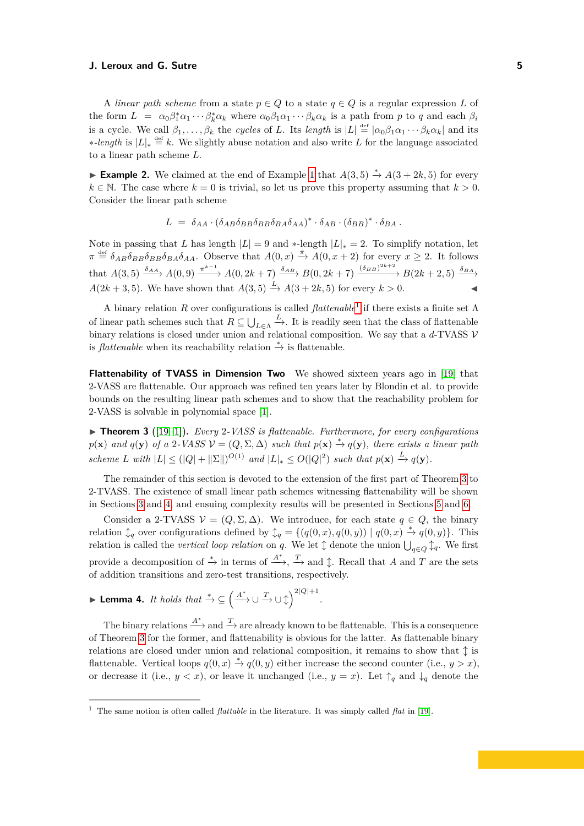A *linear path scheme* from a state  $p \in Q$  to a state  $q \in Q$  is a regular expression L of the form  $L = \alpha_0 \beta_1^* \alpha_1 \cdots \beta_k^* \alpha_k$  where  $\alpha_0 \beta_1 \alpha_1 \cdots \beta_k \alpha_k$  is a path from p to q and each  $\beta_i$ is a cycle. We call  $\beta_1, \ldots, \beta_k$  the *cycles* of *L*. Its *length* is  $|L| \stackrel{\text{def}}{=} |\alpha_0 \beta_1 \alpha_1 \cdots \beta_k \alpha_k|$  and its ∗*-length* is  $|L|_* \stackrel{\text{def}}{=} k$ . We slightly abuse notation and also write *L* for the language associated to a linear path scheme *L*.

<span id="page-4-0"></span>**Example 2.** We claimed at the end of Example [1](#page-3-1) that  $A(3,5) \stackrel{*}{\rightarrow} A(3+2k,5)$  for every  $k \in \mathbb{N}$ . The case where  $k = 0$  is trivial, so let us prove this property assuming that  $k > 0$ . Consider the linear path scheme

$$
L = \delta_{AA} \cdot (\delta_{AB} \delta_{BB} \delta_{BB} \delta_{BA} \delta_{AA})^* \cdot \delta_{AB} \cdot (\delta_{BB})^* \cdot \delta_{BA}.
$$

Note in passing that *L* has length  $|L| = 9$  and  $*$ -length  $|L|_* = 2$ . To simplify notation, let  $\pi \stackrel{\text{def}}{=} \delta_{AB}\delta_{BB}\delta_{BA}\delta_{AA}$ . Observe that  $A(0,x) \stackrel{\pi}{\to} A(0,x+2)$  for every  $x \geq 2$ . It follows that  $A(3,5) \xrightarrow{\delta_{AA}} A(0,9) \xrightarrow{\pi^{k-1}} A(0,2k+7) \xrightarrow{\delta_{AB}} B(0,2k+7) \xrightarrow{(\delta_{BB})^{2k+2}} B(2k+2,5) \xrightarrow{\delta_{BA}}$  $A(2k+3,5)$ . We have shown that  $A(3,5) \stackrel{L}{\rightarrow} A(3+2k,5)$  for every  $k > 0$ .

A binary relation *R* over configurations is called *flattenable*[1](#page-4-1) if there exists a finite set Λ of linear path schemes such that  $R \subseteq \bigcup_{L \in \Lambda}$  $\stackrel{L}{\rightarrow}$ . It is readily seen that the class of flattenable binary relations is closed under union and relational composition. We say that a *d*-TVASS V is *flattenable* when its reachability relation  $\stackrel{*}{\rightarrow}$  is flattenable.

**Flattenability of TVASS in Dimension Two** We showed sixteen years ago in [\[19\]](#page-15-14) that 2-VASS are flattenable. Our approach was refined ten years later by Blondin et al. to provide bounds on the resulting linear path schemes and to show that the reachability problem for 2-VASS is solvable in polynomial space [\[1\]](#page-15-15).

<span id="page-4-2"></span>▶ **Theorem 3** ([\[19,](#page-15-14) [1\]](#page-15-15)). *Every* 2*-VASS is flattenable. Furthermore, for every configurations*  $p(\mathbf{x})$  and  $q(\mathbf{y})$  of a 2*-VASS*  $\mathcal{V} = (Q, \Sigma, \Delta)$  such that  $p(\mathbf{x}) \stackrel{*}{\to} q(\mathbf{y})$ , there exists a linear path *scheme L* with  $|L| \leq (|Q| + ||\Sigma||)^{O(1)}$  and  $|L|_* \leq O(|Q|^2)$  such that  $p(\mathbf{x}) \stackrel{L}{\rightarrow} q(\mathbf{y})$ .

The remainder of this section is devoted to the extension of the first part of Theorem [3](#page-4-2) to 2-TVASS. The existence of small linear path schemes witnessing flattenability will be shown in Sections [3](#page-6-0) and [4,](#page-10-0) and ensuing complexity results will be presented in Sections [5](#page-12-0) and [6.](#page-13-0)

Consider a 2-TVASS  $V = (Q, \Sigma, \Delta)$ . We introduce, for each state  $q \in Q$ , the binary relation  $\downarrow_q$  over configurations defined by  $\downarrow_q = \{(q(0,x), q(0,y)) \mid q(0,x) \stackrel{*}{\to} q(0,y)\}.$  This relation is called the *vertical loop relation* on *q*. We let  $\updownarrow$  denote the union  $\bigcup_{q\in Q}\updownarrow_q$ . We first provide a decomposition of  $\stackrel{*}{\to}$  in terms of  $\stackrel{A^*}{\to}$ ,  $\stackrel{T}{\to}$  and  $\updownarrow$ . Recall that *A* and *T* are the sets of addition transitions and zero-test transitions, respectively.

<span id="page-4-3"></span>
$$
\blacktriangleright \textbf{Lemma 4. } It \ holds \ that \stackrel{*}{\rightarrow} \subseteq \left( \stackrel{A^*}{\longrightarrow} \cup \stackrel{T}{\rightarrow} \cup \stackrel{1}{\downarrow} \right)^{2|Q|+1}
$$

The binary relations  $\stackrel{A^*}{\longrightarrow}$  and  $\stackrel{T}{\longrightarrow}$  are already known to be flattenable. This is a consequence of Theorem [3](#page-4-2) for the former, and flattenability is obvious for the latter. As flattenable binary relations are closed under union and relational composition, it remains to show that  $\updownarrow$  is flattenable. Vertical loops  $q(0, x) \stackrel{*}{\rightarrow} q(0, y)$  either increase the second counter (i.e.,  $y > x$ ), or decrease it (i.e.,  $y < x$ ), or leave it unchanged (i.e.,  $y = x$ ). Let  $\uparrow_q$  and  $\downarrow_q$  denote the

*.*

<span id="page-4-1"></span><sup>1</sup> The same notion is often called *flattable* in the literature. It was simply called *flat* in [\[19\]](#page-15-14).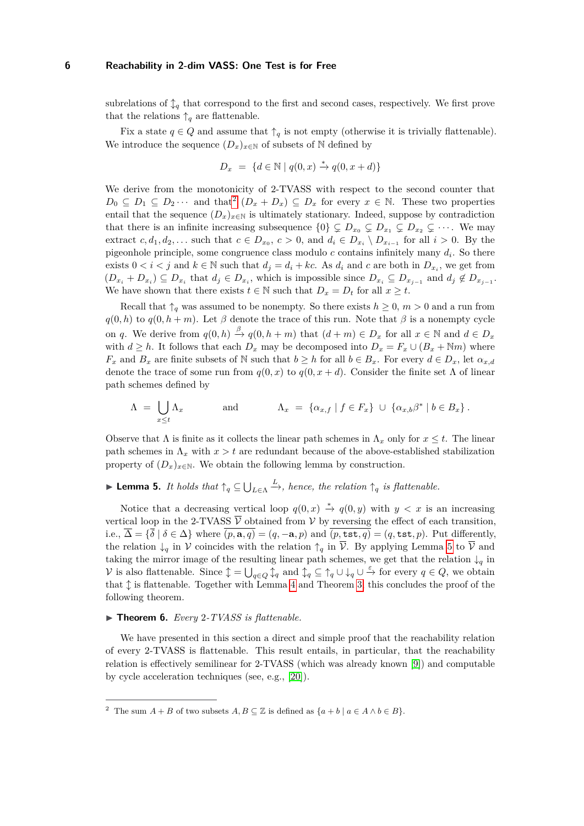subrelations of  $\downarrow_q$  that correspond to the first and second cases, respectively. We first prove that the relations  $\uparrow_q$  are flattenable.

Fix a state  $q \in Q$  and assume that  $\uparrow_q$  is not empty (otherwise it is trivially flattenable). We introduce the sequence  $(D_x)_{x\in\mathbb{N}}$  of subsets of  $\mathbb N$  defined by

$$
D_x = \{d \in \mathbb{N} \mid q(0, x) \stackrel{*}{\rightarrow} q(0, x + d)\}
$$

We derive from the monotonicity of 2-TVASS with respect to the second counter that  $D_0 \subseteq D_1 \subseteq D_2 \cdots$  $D_0 \subseteq D_1 \subseteq D_2 \cdots$  $D_0 \subseteq D_1 \subseteq D_2 \cdots$  and that<sup>2</sup>  $(D_x + D_x) \subseteq D_x$  for every  $x \in \mathbb{N}$ . These two properties entail that the sequence  $(D_x)_{x\in\mathbb{N}}$  is ultimately stationary. Indeed, suppose by contradiction that there is an infinite increasing subsequence  $\{0\} \subsetneq D_{x_0} \subsetneq D_{x_1} \subsetneq D_{x_2} \subsetneq \cdots$ . We may extract  $c, d_1, d_2, \ldots$  such that  $c \in D_{x_0}, c > 0$ , and  $d_i \in D_{x_i} \setminus D_{x_{i-1}}$  for all  $i > 0$ . By the pigeonhole principle, some congruence class modulo *c* contains infinitely many *d<sup>i</sup>* . So there exists  $0 < i < j$  and  $k \in \mathbb{N}$  such that  $d_j = d_i + kc$ . As  $d_i$  and  $c$  are both in  $D_{x_i}$ , we get from  $(D_{x_i} + D_{x_i}) \subseteq D_{x_i}$  that  $d_j \in D_{x_i}$ , which is impossible since  $D_{x_i} \subseteq D_{x_{j-1}}$  and  $d_j \notin D_{x_{j-1}}$ . We have shown that there exists  $t \in \mathbb{N}$  such that  $D_x = D_t$  for all  $x \geq t$ .

Recall that  $\uparrow_q$  was assumed to be nonempty. So there exists  $h \geq 0$ ,  $m > 0$  and a run from  $q(0, h)$  to  $q(0, h + m)$ . Let  $\beta$  denote the trace of this run. Note that  $\beta$  is a nonempty cycle on *q*. We derive from  $q(0, h) \stackrel{\beta}{\rightarrow} q(0, h+m)$  that  $(d+m) \in D_x$  for all  $x \in \mathbb{N}$  and  $d \in D_x$ with  $d \geq h$ . It follows that each  $D_x$  may be decomposed into  $D_x = F_x \cup (B_x + \mathbb{N}m)$  where *F*<sub>*x*</sub> and *B*<sub>*x*</sub> are finite subsets of N such that  $b > h$  for all  $b \in B_x$ . For every  $d \in D_x$ , let  $\alpha_x$ ,d denote the trace of some run from  $q(0, x)$  to  $q(0, x + d)$ . Consider the finite set  $\Lambda$  of linear path schemes defined by

$$
\Lambda = \bigcup_{x \leq t} \Lambda_x \quad \text{and} \quad \Lambda_x = \{ \alpha_{x,f} \mid f \in F_x \} \cup \{ \alpha_{x,b} \beta^* \mid b \in B_x \}.
$$

Observe that  $\Lambda$  is finite as it collects the linear path schemes in  $\Lambda_x$  only for  $x \leq t$ . The linear path schemes in  $\Lambda_x$  with  $x > t$  are redundant because of the above-established stabilization property of  $(D_x)_{x\in\mathbb{N}}$ . We obtain the following lemma by construction.

#### <span id="page-5-1"></span>**If Lemma 5.** *It holds that*  $\uparrow_q \subseteq \bigcup_{L \in \Lambda}$  $\stackrel{L}{\longrightarrow}$ *, hence, the relation*  $\uparrow_q$  *is flattenable.*

Notice that a decreasing vertical loop  $q(0, x) \stackrel{*}{\to} q(0, y)$  with  $y < x$  is an increasing vertical loop in the 2-TVASS  $\overline{V}$  obtained from V by reversing the effect of each transition, i.e.,  $\overline{\Delta} = {\overline{\delta} \mid \delta \in \Delta}$  where  $\overline{(p, \mathbf{a}, q)} = (q, -\mathbf{a}, p)$  and  $\overline{(p, \texttt{tst}, q)} = (q, \texttt{tst}, p)$ . Put differently, the relation  $\downarrow_q$  in V coincides with the relation  $\uparrow_q$  in  $\overline{V}$ . By applying Lemma [5](#page-5-1) to  $\overline{V}$  and taking the mirror image of the resulting linear path schemes, we get that the relation  $\downarrow_q$  in *V* is also flattenable. Since  $\updownarrow$  =  $\bigcup_{q \in Q} \updownarrow_q$  and  $\updownarrow_q \subseteq \uparrow_q \cup \downarrow_q \cup \stackrel{\varepsilon}{\to}$  for every *q* ∈ *Q*, we obtain that  $\uparrow$  is flattenable. Together with Lemma [4](#page-4-3) and Theorem [3,](#page-4-2) this concludes the proof of the following theorem.

### <span id="page-5-2"></span>▶ **Theorem 6.** *Every* 2-*TVASS is flattenable.*

We have presented in this section a direct and simple proof that the reachability relation of every 2-TVASS is flattenable. This result entails, in particular, that the reachability relation is effectively semilinear for 2-TVASS (which was already known [\[9\]](#page-15-18)) and computable by cycle acceleration techniques (see, e.g., [\[20\]](#page-15-20)).

<span id="page-5-0"></span><sup>&</sup>lt;sup>2</sup> The sum  $A + B$  of two subsets  $A, B \subseteq \mathbb{Z}$  is defined as  $\{a + b \mid a \in A \land b \in B\}$ .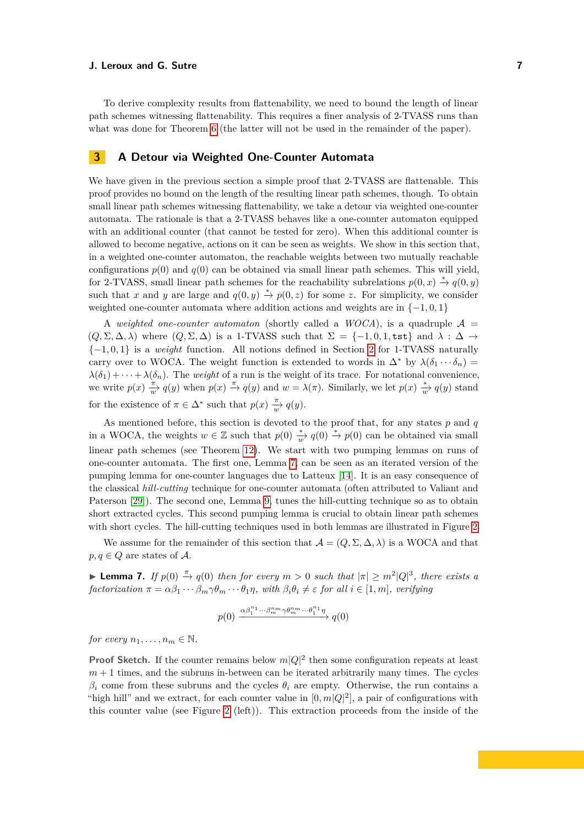To derive complexity results from flattenability, we need to bound the length of linear path schemes witnessing flattenability. This requires a finer analysis of 2-TVASS runs than what was done for Theorem [6](#page-5-2) (the latter will not be used in the remainder of the paper).

# <span id="page-6-0"></span>**3 A Detour via Weighted One-Counter Automata**

We have given in the previous section a simple proof that 2-TVASS are flattenable. This proof provides no bound on the length of the resulting linear path schemes, though. To obtain small linear path schemes witnessing flattenability, we take a detour via weighted one-counter automata. The rationale is that a 2-TVASS behaves like a one-counter automaton equipped with an additional counter (that cannot be tested for zero). When this additional counter is allowed to become negative, actions on it can be seen as weights. We show in this section that, in a weighted one-counter automaton, the reachable weights between two mutually reachable configurations  $p(0)$  and  $q(0)$  can be obtained via small linear path schemes. This will yield, for 2-TVASS, small linear path schemes for the reachability subrelations  $p(0, x) \stackrel{*}{\rightarrow} q(0, y)$ such that *x* and *y* are large and  $q(0, y) \stackrel{*}{\rightarrow} p(0, z)$  for some *z*. For simplicity, we consider weighted one-counter automata where addition actions and weights are in {−1*,* 0*,* 1}

A *weighted one-counter automaton* (shortly called a *WOCA*), is a quadruple  $A =$  $(Q, \Sigma, \Delta, \lambda)$  where  $(Q, \Sigma, \Delta)$  is a 1-TVASS such that  $\Sigma = \{-1, 0, 1, \text{tst}\}$  and  $\lambda : \Delta \to \Delta$ {−1*,* 0*,* 1} is a *weight* function. All notions defined in Section [2](#page-2-0) for 1-TVASS naturally carry over to WOCA. The weight function is extended to words in  $\Delta^*$  by  $\lambda(\delta_1 \cdots \delta_n)$  $\lambda(\delta_1) + \cdots + \lambda(\delta_n)$ . The *weight* of a run is the weight of its trace. For notational convenience, we write  $p(x) \frac{\pi}{w} q(y)$  when  $p(x) \stackrel{\pi}{\to} q(y)$  and  $w = \lambda(\pi)$ . Similarly, we let  $p(x) \stackrel{*}{\to} q(y)$  stand for the existence of  $\pi \in \Delta^*$  such that  $p(x) \frac{\pi}{w} q(y)$ .

As mentioned before, this section is devoted to the proof that, for any states *p* and *q* in a WOCA, the weights  $w \in \mathbb{Z}$  such that  $p(0) \stackrel{*}{\to} q(0) \stackrel{*}{\to} p(0)$  can be obtained via small linear path schemes (see Theorem [12\)](#page-9-0). We start with two pumping lemmas on runs of one-counter automata. The first one, Lemma [7,](#page-6-1) can be seen as an iterated version of the pumping lemma for one-counter languages due to Latteux [\[14\]](#page-15-21). It is an easy consequence of the classical *hill-cutting* technique for one-counter automata (often attributed to Valiant and Paterson [\[29\]](#page-16-5)). The second one, Lemma [9,](#page-7-0) tunes the hill-cutting technique so as to obtain short extracted cycles. This second pumping lemma is crucial to obtain linear path schemes with short cycles. The hill-cutting techniques used in both lemmas are illustrated in Figure [2.](#page-7-1)

We assume for the remainder of this section that  $\mathcal{A} = (Q, \Sigma, \Delta, \lambda)$  is a WOCA and that  $p, q \in Q$  are states of A.

<span id="page-6-1"></span>**► Lemma 7.** *If*  $p(0) \stackrel{\pi}{\rightarrow} q(0)$  *then for every*  $m > 0$  *such that*  $|\pi| \geq m^2 |Q|^3$ , *there exists a factorization*  $\pi = \alpha \beta_1 \cdots \beta_m \gamma \theta_m \cdots \theta_1 \eta$ , with  $\beta_i \theta_i \neq \varepsilon$  *for all*  $i \in [1, m]$ , verifying

$$
p(0) \xrightarrow{\alpha \beta_1^{n_1} \cdots \beta_m^{n_m} \gamma \theta_m^{n_m} \cdots \theta_1^{n_1} \eta} q(0)
$$

*for every*  $n_1, \ldots, n_m \in \mathbb{N}$ .

**Proof Sketch.** If the counter remains below  $m|Q|^2$  then some configuration repeats at least  $m + 1$  times, and the subruns in-between can be iterated arbitrarily many times. The cycles  $β<sub>i</sub>$  come from these subruns and the cycles  $θ<sub>i</sub>$  are empty. Otherwise, the run contains a "high hill" and we extract, for each counter value in  $[0, m|Q|^2]$ , a pair of configurations with this counter value (see Figure [2](#page-7-1) (left)). This extraction proceeds from the inside of the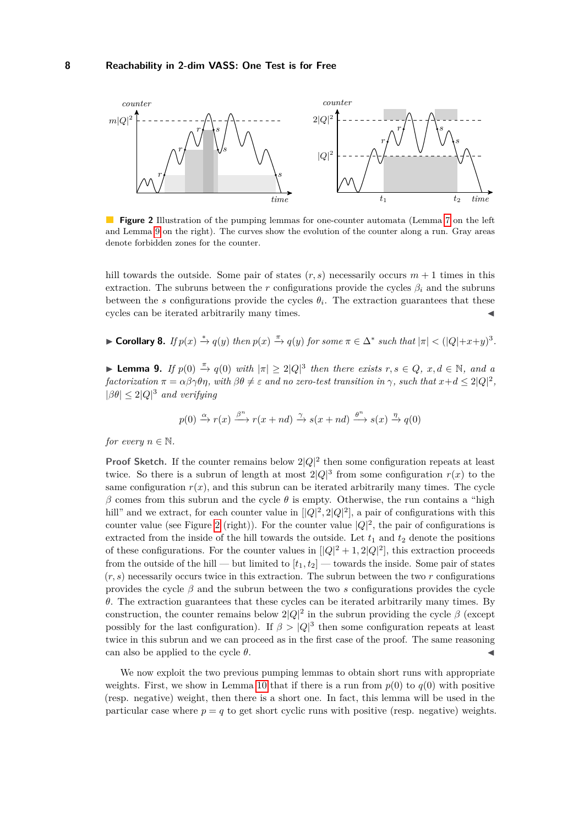<span id="page-7-1"></span>

**Figure 2** Illustration of the pumping lemmas for one-counter automata (Lemma [7](#page-6-1) on the left and Lemma [9](#page-7-0) on the right). The curves show the evolution of the counter along a run. Gray areas denote forbidden zones for the counter.

hill towards the outside. Some pair of states  $(r, s)$  necessarily occurs  $m + 1$  times in this extraction. The subruns between the *r* configurations provide the cycles  $\beta_i$  and the subruns between the *s* configurations provide the cycles  $\theta_i$ . The extraction guarantees that these cycles can be iterated arbitrarily many times.

<span id="page-7-2"></span>► Corollary 8. If  $p(x) \stackrel{*}{\to} q(y)$  then  $p(x) \stackrel{\pi}{\to} q(y)$  for some  $\pi \in \Delta^*$  such that  $|\pi| < (|Q|+x+y)^3$ .

<span id="page-7-0"></span>**► Lemma 9.** *If*  $p(0) \stackrel{\pi}{\rightarrow} q(0)$  *with*  $|\pi| \geq 2|Q|^3$  *then there exists*  $r, s \in Q, x, d \in \mathbb{N}$ *, and a*  $factorization \ \pi = \alpha \beta \gamma \theta \eta$ , with  $\beta \theta \neq \varepsilon$  and no zero-test transition in  $\gamma$ , such that  $x+d \leq 2|Q|^2$ ,  $|\beta \theta| \leq 2|Q|^3$  *and verifying* 

$$
p(0) \xrightarrow{\alpha} r(x) \xrightarrow{\beta^n} r(x+nd) \xrightarrow{\gamma} s(x+nd) \xrightarrow{\theta^n} s(x) \xrightarrow{\eta} q(0)
$$

*for every*  $n \in \mathbb{N}$ *.* 

**Proof Sketch.** If the counter remains below  $2|Q|^2$  then some configuration repeats at least twice. So there is a subrun of length at most  $2|Q|^3$  from some configuration  $r(x)$  to the same configuration  $r(x)$ , and this subrun can be iterated arbitrarily many times. The cycle *β* comes from this subrun and the cycle *θ* is empty. Otherwise, the run contains a "high hill" and we extract, for each counter value in  $[|Q|^2, 2|Q|^2]$ , a pair of configurations with this counter value (see Figure [2](#page-7-1) (right)). For the counter value  $|Q|^2$ , the pair of configurations is extracted from the inside of the hill towards the outside. Let  $t_1$  and  $t_2$  denote the positions of these configurations. For the counter values in  $[|Q|^2 + 1, 2|Q|^2]$ , this extraction proceeds from the outside of the hill — but limited to  $[t_1, t_2]$  — towards the inside. Some pair of states  $(r, s)$  necessarily occurs twice in this extraction. The subrun between the two  $r$  configurations provides the cycle *β* and the subrun between the two *s* configurations provides the cycle *θ*. The extraction guarantees that these cycles can be iterated arbitrarily many times. By construction, the counter remains below  $2|Q|^2$  in the subrun providing the cycle  $\beta$  (except possibly for the last configuration). If  $\beta > |Q|^3$  then some configuration repeats at least twice in this subrun and we can proceed as in the first case of the proof. The same reasoning can also be applied to the cycle  $\theta$ .

We now exploit the two previous pumping lemmas to obtain short runs with appropriate weights. First, we show in Lemma [10](#page-8-0) that if there is a run from  $p(0)$  to  $q(0)$  with positive (resp. negative) weight, then there is a short one. In fact, this lemma will be used in the particular case where  $p = q$  to get short cyclic runs with positive (resp. negative) weights.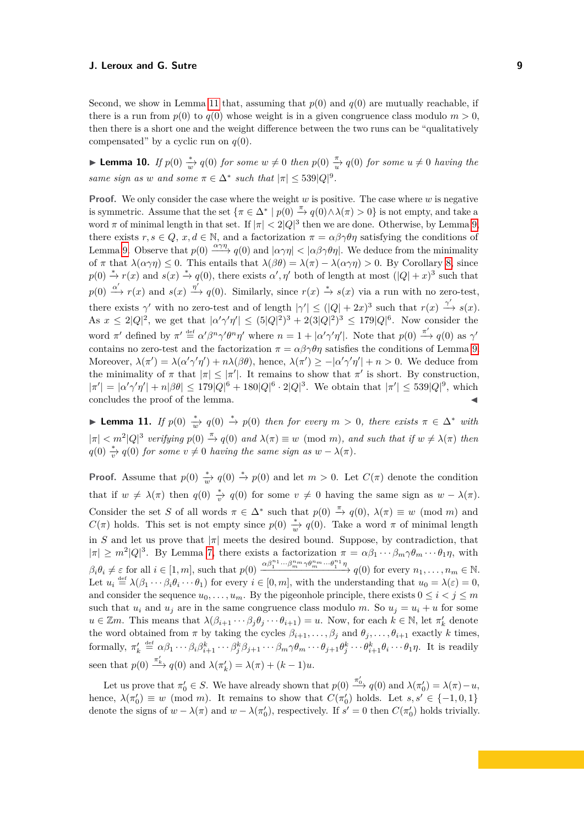Second, we show in Lemma [11](#page-8-1) that, assuming that  $p(0)$  and  $q(0)$  are mutually reachable, if there is a run from  $p(0)$  to  $q(0)$  whose weight is in a given congruence class modulo  $m > 0$ , then there is a short one and the weight difference between the two runs can be "qualitatively compensated" by a cyclic run on  $q(0)$ .

<span id="page-8-0"></span>**► Lemma 10.** *If*  $p(0) \stackrel{*}{w}q(0)$  *for some*  $w \neq 0$  *then*  $p(0) \stackrel{\pi}{w}q(0)$  *for some*  $u \neq 0$  *having the same sign as w and some*  $\pi \in \Delta^*$  *such that*  $|\pi| \leq 539|Q|^9$ .

**Proof.** We only consider the case where the weight *w* is positive. The case where *w* is negative is symmetric. Assume that the set  $\{\pi \in \Delta^* \mid p(0) \stackrel{\pi}{\to} q(0) \wedge \lambda(\pi) > 0\}$  is not empty, and take a word  $\pi$  of minimal length in that set. If  $|\pi| < 2|Q|^3$  then we are done. Otherwise, by Lemma [9,](#page-7-0) there exists  $r, s \in Q$ ,  $x, d \in \mathbb{N}$ , and a factorization  $\pi = \alpha \beta \gamma \theta \eta$  satisfying the conditions of Lemma [9.](#page-7-0) Observe that  $p(0) \xrightarrow{\alpha \gamma \eta} q(0)$  and  $|\alpha \gamma \eta| < |\alpha \beta \gamma \theta \eta|$ . We deduce from the minimality of  $\pi$  that  $\lambda(\alpha \gamma \eta) \leq 0$ . This entails that  $\lambda(\beta \theta) = \lambda(\pi) - \lambda(\alpha \gamma \eta) > 0$ . By Corollary [8,](#page-7-2) since  $p(0) \stackrel{*}{\to} r(x)$  and  $s(x) \stackrel{*}{\to} q(0)$ , there exists  $\alpha', \eta'$  both of length at most  $(|Q| + x)^3$  such that  $p(0) \xrightarrow{\alpha'} r(x)$  and  $s(x) \xrightarrow{\eta'} q(0)$ . Similarly, since  $r(x) \xrightarrow{*} s(x)$  via a run with no zero-test, there exists  $\gamma'$  with no zero-test and of length  $|\gamma'| \leq (|Q| + 2x)^3$  such that  $r(x) \xrightarrow{\gamma'} s(x)$ . As  $x \leq 2|Q|^2$ , we get that  $|\alpha'\gamma'\eta'| \leq (5|Q|^2)^3 + 2(3|Q|^2)^3 \leq 179|Q|^6$ . Now consider the word  $\pi'$  defined by  $\pi' \stackrel{\text{def}}{=} \alpha' \beta^n \gamma' \theta^n \eta'$  where  $n = 1 + |\alpha' \gamma' \eta'|$ . Note that  $p(0) \stackrel{\pi'}{\to} q(0)$  as  $\gamma'$ contains no zero-test and the factorization  $\pi = \alpha \beta \gamma \theta \eta$  satisfies the conditions of Lemma [9.](#page-7-0) Moreover,  $\lambda(\pi') = \lambda(\alpha' \gamma' \eta') + n\lambda(\beta\theta)$ , hence,  $\lambda(\pi') \ge -|\alpha' \gamma' \eta'| + n > 0$ . We deduce from the minimality of  $\pi$  that  $|\pi| \leq |\pi'|$ . It remains to show that  $\pi'$  is short. By construction,  $|\pi'| = |\alpha'\gamma'\eta'| + n|\beta\theta| \leq 179|Q|^6 + 180|Q|^6 \cdot 2|Q|^3$ . We obtain that  $|\pi'| \leq 539|Q|^9$ , which concludes the proof of the lemma.

<span id="page-8-1"></span>**► Lemma 11.** *If*  $p(0) \stackrel{*}{\longrightarrow} q(0) \stackrel{*}{\to} p(0)$  *then for every*  $m > 0$ *, there exists*  $\pi \in \Delta^*$  *with*  $|\pi| < m^2 |Q|^3$  *verifying*  $p(0) \stackrel{\pi}{\rightarrow} q(0)$  *and*  $\lambda(\pi) \equiv w \pmod{m}$ , *and such that if*  $w \neq \lambda(\pi)$  *then*  $q(0) \stackrel{*}{\rightarrow} q(0)$  *for some*  $v \neq 0$  *having the same sign as*  $w - \lambda(\pi)$ *.* 

**Proof.** Assume that  $p(0) \stackrel{*}{\longrightarrow} q(0) \stackrel{*}{\to} p(0)$  and let  $m > 0$ . Let  $C(\pi)$  denote the condition that if  $w \neq \lambda(\pi)$  then  $q(0) \stackrel{*}{\underset{\longrightarrow}{v}} q(0)$  for some  $v \neq 0$  having the same sign as  $w - \lambda(\pi)$ . Consider the set *S* of all words  $\pi \in \Delta^*$  such that  $p(0) \stackrel{\pi}{\to} q(0)$ ,  $\lambda(\pi) \equiv w \pmod{m}$  and *C*( $\pi$ ) holds. This set is not empty since *p*(0)  $\frac{*}{w}$  *q*(0). Take a word  $\pi$  of minimal length in *S* and let us prove that  $|\pi|$  meets the desired bound. Suppose, by contradiction, that  $|\pi| \geq m^2 |Q|^3$ . By Lemma [7,](#page-6-1) there exists a factorization  $\pi = \alpha \beta_1 \cdots \beta_m \gamma \theta_m \cdots \theta_1 \eta$ , with  $\beta_i \theta_i \neq \varepsilon$  for all  $i \in [1, m]$ , such that  $p(0) \xrightarrow{\alpha \beta_1^{n_1} \cdots \beta_m^{n_m} \gamma \theta_m^{n_m} \cdots \theta_1^{n_1} \eta}} q(0)$  for every  $n_1, \ldots, n_m \in \mathbb{N}$ . Let  $u_i \stackrel{\text{def}}{=} \lambda(\beta_1 \cdots \beta_i \theta_i \cdots \theta_1)$  for every  $i \in [0, m]$ , with the understanding that  $u_0 = \lambda(\varepsilon) = 0$ , and consider the sequence  $u_0, \ldots, u_m$ . By the pigeonhole principle, there exists  $0 \le i \le j \le m$ such that  $u_i$  and  $u_j$  are in the same congruence class modulo *m*. So  $u_j = u_i + u$  for some  $u \in \mathbb{Z}m$ . This means that  $\lambda(\beta_{i+1} \cdots \beta_j \theta_j \cdots \theta_{i+1}) = u$ . Now, for each  $k \in \mathbb{N}$ , let  $\pi'_k$  denote the word obtained from  $\pi$  by taking the cycles  $\beta_{i+1}, \ldots, \beta_j$  and  $\theta_j, \ldots, \theta_{i+1}$  exactly k times, formally,  $\pi'_k \stackrel{\text{def}}{=} \alpha \beta_1 \cdots \beta_i \beta_{i+1}^k \cdots \beta_j^k \beta_{j+1} \cdots \beta_m \gamma \theta_m \cdots \theta_{j+1} \theta_j^k \cdots \theta_{i+1}^k \theta_i \cdots \theta_1 \eta$ . It is readily seen that  $p(0) \xrightarrow{\pi'_k} q(0)$  and  $\lambda(\pi'_k) = \lambda(\pi) + (k-1)u$ .

Let us prove that  $\pi'_0 \in S$ . We have already shown that  $p(0) \xrightarrow{\pi'_0} q(0)$  and  $\lambda(\pi'_0) = \lambda(\pi) - u$ , hence,  $\lambda(\pi'_0) \equiv w \pmod{m}$ . It remains to show that  $C(\pi'_0)$  holds. Let  $s, s' \in \{-1, 0, 1\}$ denote the signs of  $w - \lambda(\pi)$  and  $w - \lambda(\pi'_0)$ , respectively. If  $s' = 0$  then  $C(\pi'_0)$  holds trivially.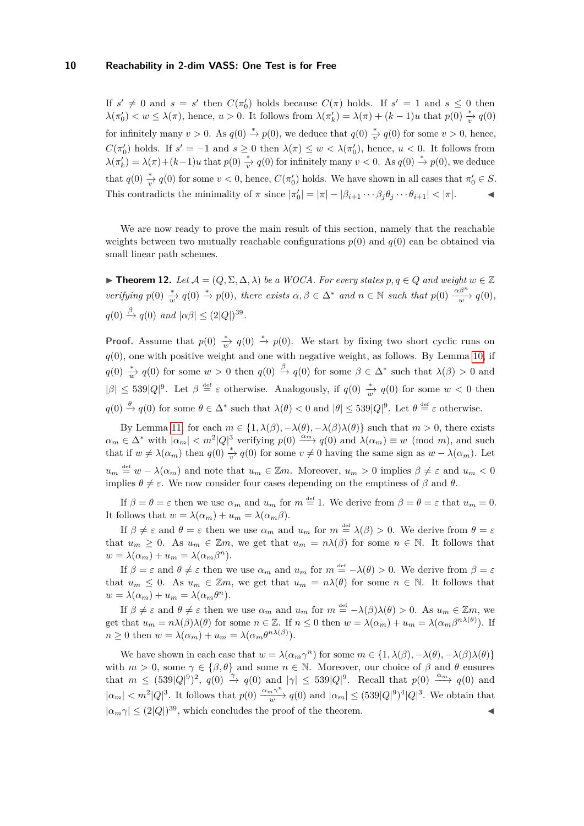If  $s' \neq 0$  and  $s = s'$  then  $C(\pi_0')$  holds because  $C(\pi)$  holds. If  $s' = 1$  and  $s \leq 0$  then  $\lambda(\pi'_0) < w \leq \lambda(\pi)$ , hence,  $u > 0$ . It follows from  $\lambda(\pi'_k) = \lambda(\pi) + (k-1)u$  that  $p(0) \stackrel{*}{\rightarrow} q(0)$ for infinitely many  $v > 0$ . As  $q(0) \stackrel{*}{\rightarrow} p(0)$ , we deduce that  $q(0) \stackrel{*}{\rightarrow} q(0)$  for some  $v > 0$ , hence,  $C(\pi_0')$  holds. If  $s' = -1$  and  $s \geq 0$  then  $\lambda(\pi) \leq w < \lambda(\pi_0')$ , hence,  $u < 0$ . It follows from  $\lambda(\pi'_k) = \lambda(\pi) + (k-1)u$  that  $p(0) \stackrel{*}{\rightarrow} q(0)$  for infinitely many  $v < 0$ . As  $q(0) \stackrel{*}{\rightarrow} p(0)$ , we deduce that  $q(0) \frac{*}{v} q(0)$  for some  $v < 0$ , hence,  $C(\pi_0')$  holds. We have shown in all cases that  $\pi_0' \in S$ . This contradicts the minimality of  $\pi$  since  $|\pi'_0| = |\pi| - |\beta_{i+1} \cdots \beta_j \theta_j \cdots \theta_{i+1}| < |\pi|$ .

We are now ready to prove the main result of this section, namely that the reachable weights between two mutually reachable configurations  $p(0)$  and  $q(0)$  can be obtained via small linear path schemes.

<span id="page-9-0"></span>**► Theorem 12.** *Let*  $A = (Q, \Sigma, \Delta, \lambda)$  *be a WOCA. For every states*  $p, q \in Q$  *and weight*  $w \in \mathbb{Z}$ *verifying*  $p(0) \stackrel{*}{\longrightarrow} q(0) \stackrel{*}{\longrightarrow} p(0)$ *, there exists*  $\alpha, \beta \in \Delta^*$  *and*  $n \in \mathbb{N}$  *such that*  $p(0) \stackrel{\alpha\beta^n}{\longrightarrow} q(0)$ *,*  $q(0) \stackrel{\beta}{\rightarrow} q(0)$  *and*  $|\alpha\beta| \leq (2|Q|)^{39}$ .

**Proof.** Assume that  $p(0) \stackrel{*}{\to} q(0) \stackrel{*}{\to} p(0)$ . We start by fixing two short cyclic runs on *q*(0), one with positive weight and one with negative weight, as follows. By Lemma [10,](#page-8-0) if  $q(0) \stackrel{*}{\longrightarrow} q(0)$  for some  $w > 0$  then  $q(0) \stackrel{\beta}{\longrightarrow} q(0)$  for some  $\beta \in \Delta^*$  such that  $\lambda(\beta) > 0$  and  $|\beta| \leq 539|Q|^9$ . Let  $\beta \stackrel{\text{def}}{=} \varepsilon$  otherwise. Analogously, if  $q(0) \stackrel{*}{w} q(0)$  for some  $w < 0$  then  $q(0) \stackrel{\theta}{\to} q(0)$  for some  $\theta \in \Delta^*$  such that  $\lambda(\theta) < 0$  and  $|\theta| \leq 539|Q|^9$ . Let  $\theta \stackrel{\text{def}}{=} \varepsilon$  otherwise.

By Lemma [11,](#page-8-1) for each  $m \in \{1, \lambda(\beta), -\lambda(\theta), -\lambda(\beta)\lambda(\theta)\}$  such that  $m > 0$ , there exists  $a_m \in \Delta^*$  with  $|a_m| < m^2 |Q|^3$  verifying  $p(0) \xrightarrow{\alpha_m} q(0)$  and  $\lambda(\alpha_m) \equiv w \pmod{m}$ , and such that if  $w \neq \lambda(\alpha_m)$  then  $q(0) \frac{*}{v} q(0)$  for some  $v \neq 0$  having the same sign as  $w - \lambda(\alpha_m)$ . Let  $u_m \stackrel{\text{def}}{=} w - \lambda(\alpha_m)$  and note that  $u_m \in \mathbb{Z}m$ . Moreover,  $u_m > 0$  implies  $\beta \neq \varepsilon$  and  $u_m < 0$ implies  $\theta \neq \varepsilon$ . We now consider four cases depending on the emptiness of  $\beta$  and  $\theta$ .

If  $\beta = \theta = \varepsilon$  then we use  $\alpha_m$  and  $u_m$  for  $m \stackrel{\text{def}}{=} 1$ . We derive from  $\beta = \theta = \varepsilon$  that  $u_m = 0$ . It follows that  $w = \lambda(\alpha_m) + u_m = \lambda(\alpha_m \beta)$ .

If  $\beta \neq \varepsilon$  and  $\theta = \varepsilon$  then we use  $\alpha_m$  and  $u_m$  for  $m \stackrel{\text{def}}{=} \lambda(\beta) > 0$ . We derive from  $\theta = \varepsilon$ that  $u_m \geq 0$ . As  $u_m \in \mathbb{Z}m$ , we get that  $u_m = n\lambda(\beta)$  for some  $n \in \mathbb{N}$ . It follows that  $w = \lambda(\alpha_m) + u_m = \lambda(\alpha_m \beta^n).$ 

If  $\beta = \varepsilon$  and  $\theta \neq \varepsilon$  then we use  $\alpha_m$  and  $u_m$  for  $m \stackrel{\text{def}}{=} -\lambda(\theta) > 0$ . We derive from  $\beta = \varepsilon$ that  $u_m \leq 0$ . As  $u_m \in \mathbb{Z}m$ , we get that  $u_m = n\lambda(\theta)$  for some  $n \in \mathbb{N}$ . It follows that  $w = \lambda(\alpha_m) + u_m = \lambda(\alpha_m \theta^n).$ 

If  $\beta \neq \varepsilon$  and  $\theta \neq \varepsilon$  then we use  $\alpha_m$  and  $u_m$  for  $m \stackrel{\text{def}}{=} -\lambda(\beta)\lambda(\theta) > 0$ . As  $u_m \in \mathbb{Z}m$ , we get that  $u_m = n\lambda(\beta)\lambda(\theta)$  for some  $n \in \mathbb{Z}$ . If  $n \leq 0$  then  $w = \lambda(\alpha_m) + u_m = \lambda(\alpha_m\beta^{n\lambda(\theta)})$ . If  $n \geq 0$  then  $w = \lambda(\alpha_m) + u_m = \lambda(\alpha_m \theta^{n\lambda(\beta)})$ .

We have shown in each case that  $w = \lambda(\alpha_m \gamma^n)$  for some  $m \in \{1, \lambda(\beta), -\lambda(\theta), -\lambda(\beta)\lambda(\theta)\}$ with  $m > 0$ , some  $\gamma \in \{\beta, \theta\}$  and some  $n \in \mathbb{N}$ . Moreover, our choice of  $\beta$  and  $\theta$  ensures that  $m \leq (539|Q|^9)^2$ ,  $q(0) \stackrel{\gamma}{\rightarrow} q(0)$  and  $|\gamma| \leq 539|Q|^9$ . Recall that  $p(0) \stackrel{\alpha_{m}}{\longrightarrow} q(0)$  and  $|\alpha_m| < m^2 |Q|^3$ . It follows that  $p(0) \xrightarrow{a_m \gamma^n} q(0)$  and  $|\alpha_m| \le (539|Q|^9)^4 |Q|^3$ . We obtain that  $|\alpha_m \gamma| \leq (2|Q|)^{39}$ , which concludes the proof of the theorem.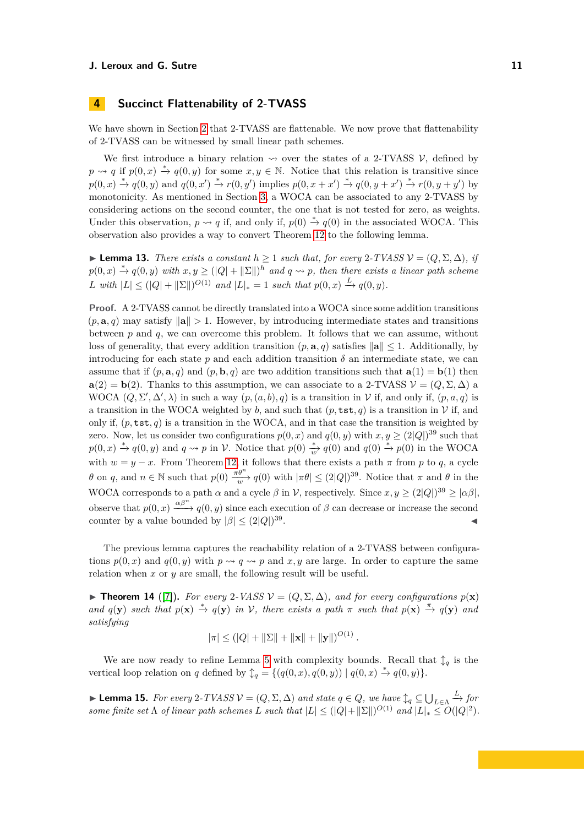# <span id="page-10-0"></span>**4 Succinct Flattenability of 2-TVASS**

We have shown in Section [2](#page-2-0) that 2-TVASS are flattenable. We now prove that flattenability of 2-TVASS can be witnessed by small linear path schemes.

We first introduce a binary relation  $\sim$  over the states of a 2-TVASS V, defined by  $p \rightsquigarrow q$  if  $p(0, x) \stackrel{*}{\rightarrow} q(0, y)$  for some  $x, y \in \mathbb{N}$ . Notice that this relation is transitive since  $p(0,x) \stackrel{*}{\rightarrow} q(0,y)$  and  $q(0,x') \stackrel{*}{\rightarrow} r(0,y')$  implies  $p(0,x+x') \stackrel{*}{\rightarrow} q(0,y+x') \stackrel{*}{\rightarrow} r(0,y+y')$  by monotonicity. As mentioned in Section [3,](#page-6-0) a WOCA can be associated to any 2-TVASS by considering actions on the second counter, the one that is not tested for zero, as weights. Under this observation,  $p \rightarrow q$  if, and only if,  $p(0) \stackrel{*}{\rightarrow} q(0)$  in the associated WOCA. This observation also provides a way to convert Theorem [12](#page-9-0) to the following lemma.

<span id="page-10-1"></span>**► Lemma 13.** *There exists a constant*  $h \ge 1$  *such that, for every*  $2$ -*TVASS*  $V = (Q, \Sigma, \Delta)$ *, if*  $p(0, x) \stackrel{*}{\rightarrow} q(0, y)$  *with*  $x, y \geq (|Q| + ||\Sigma||)^h$  and  $q \rightsquigarrow p$ , then there exists a linear path scheme *L* with  $|L| \leq (|Q| + ||\Sigma||)^{O(1)}$  and  $|L|_* = 1$  such that  $p(0, x) \stackrel{L}{\to} q(0, y)$ .

**Proof.** A 2-TVASS cannot be directly translated into a WOCA since some addition transitions  $(p, \mathbf{a}, q)$  may satisfy  $\|\mathbf{a}\| > 1$ . However, by introducing intermediate states and transitions between *p* and *q*, we can overcome this problem. It follows that we can assume, without loss of generality, that every addition transition  $(p, \mathbf{a}, q)$  satisfies  $\|\mathbf{a}\| \leq 1$ . Additionally, by introducing for each state  $p$  and each addition transition  $\delta$  an intermediate state, we can assume that if  $(p, \mathbf{a}, q)$  and  $(p, \mathbf{b}, q)$  are two addition transitions such that  $\mathbf{a}(1) = \mathbf{b}(1)$  then **a**(2) = **b**(2). Thanks to this assumption, we can associate to a 2-TVASS  $V = (Q, \Sigma, \Delta)$  a WOCA  $(Q, \Sigma', \Delta', \lambda)$  in such a way  $(p, (a, b), q)$  is a transition in V if, and only if,  $(p, a, q)$  is a transition in the WOCA weighted by *b*, and such that  $(p, \texttt{tst}, q)$  is a transition in V if, and only if,  $(p, \texttt{tst}, q)$  is a transition in the WOCA, and in that case the transition is weighted by zero. Now, let us consider two configurations  $p(0, x)$  and  $q(0, y)$  with  $x, y \geq (2|Q|)^{39}$  such that  $p(0, x) \stackrel{*}{\rightarrow} q(0, y)$  and  $q \rightsquigarrow p$  in V. Notice that  $p(0) \stackrel{*}{\rightarrow} q(0)$  and  $q(0) \stackrel{*}{\rightarrow} p(0)$  in the WOCA with  $w = y - x$ . From Theorem [12,](#page-9-0) it follows that there exists a path  $\pi$  from  $p$  to  $q$ , a cycle *θ* on *q*, and  $n \in \mathbb{N}$  such that  $p(0) \frac{\pi \theta^n}{w} q(0)$  with  $|\pi \theta| \leq (2|Q|)^{39}$ . Notice that  $\pi$  and  $\theta$  in the WOCA corresponds to a path  $\alpha$  and a cycle  $\beta$  in V, respectively. Since  $x, y \geq (2|Q|)^{39} \geq |\alpha\beta|$ , observe that  $p(0, x) \stackrel{\alpha\beta^n}{\longrightarrow} q(0, y)$  since each execution of  $\beta$  can decrease or increase the second counter by a value bounded by  $|\beta| \leq (2|Q|)^{39}$ . **Just a strategie and the strategie of the strategie** 

The previous lemma captures the reachability relation of a 2-TVASS between configurations  $p(0, x)$  and  $q(0, y)$  with  $p \leadsto q \leadsto p$  and x, y are large. In order to capture the same relation when *x* or *y* are small, the following result will be useful.

<span id="page-10-2"></span>**► Theorem 14** ([\[7\]](#page-15-22)). *For every* 2*-VASS*  $\mathcal{V} = (Q, \Sigma, \Delta)$ *, and for every configurations*  $p(\mathbf{x})$ *and*  $q(\mathbf{y})$  *such that*  $p(\mathbf{x}) \stackrel{*}{\rightarrow} q(\mathbf{y})$  *in*  $\mathcal{V}$ *, there exists a path*  $\pi$  *such that*  $p(\mathbf{x}) \stackrel{\pi}{\rightarrow} q(\mathbf{y})$  *and satisfying*

$$
|\pi| \leq (|Q| + ||\Sigma|| + ||\mathbf{x}|| + ||\mathbf{y}||)^{O(1)}.
$$

We are now ready to refine Lemma [5](#page-5-1) with complexity bounds. Recall that  $\updownarrow_q$  is the vertical loop relation on *q* defined by  $\mathcal{L}_q = \{(q(0,x), q(0,y)) | q(0,x) \stackrel{*}{\rightarrow} q(0,y)\}.$ 

<span id="page-10-3"></span> $\blacktriangleright$  **Lemma 15.** *For every* 2-*TVASS*  $V = (Q, \Sigma, \Delta)$  *and state*  $q \in Q$ *, we have*  $\mathcal{L}_q$  ⊆ ∪<sub>*L*∈Λ</sub>  $\xrightarrow{L}$  *for some finite set*  $\Lambda$  *of linear path schemes*  $L$  *such that*  $|L| \leq (|Q| + ||\Sigma||)^{O(1)}$  *and*  $|L|_* \leq O(|Q|^2)$ *.*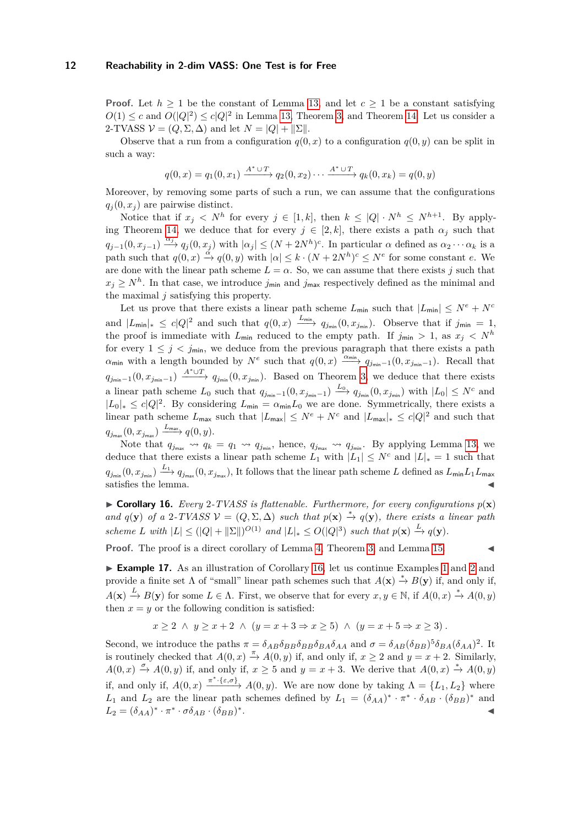**Proof.** Let  $h \geq 1$  be the constant of Lemma [13,](#page-10-1) and let  $c \geq 1$  be a constant satisfying  $O(1) \leq c$  and  $O(|Q|^2) \leq c|Q|^2$  in Lemma [13,](#page-10-1) Theorem [3,](#page-4-2) and Theorem [14.](#page-10-2) Let us consider a 2-TVASS  $V = (Q, \Sigma, \Delta)$  and let  $N = |Q| + ||\Sigma||$ .

Observe that a run from a configuration  $q(0, x)$  to a configuration  $q(0, y)$  can be split in such a way:

$$
q(0,x) = q_1(0,x_1) \xrightarrow{A^* \cup T} q_2(0,x_2) \cdots \xrightarrow{A^* \cup T} q_k(0,x_k) = q(0,y)
$$

Moreover, by removing some parts of such a run, we can assume that the configurations  $q_i(0, x_i)$  are pairwise distinct.

Notice that if  $x_j \leq N^h$  for every  $j \in [1, k]$ , then  $k \leq |Q| \cdot N^h \leq N^{h+1}$ . By apply-ing Theorem [14,](#page-10-2) we deduce that for every  $j \in [2, k]$ , there exists a path  $\alpha_j$  such that  $q_{j-1}(0, x_{j-1}) \xrightarrow{\alpha_j} q_j(0, x_j)$  with  $|\alpha_j| \leq (N + 2N^h)^c$ . In particular  $\alpha$  defined as  $\alpha_2 \cdots \alpha_k$  is a path such that  $q(0, x) \stackrel{\alpha}{\rightarrow} q(0, y)$  with  $|\alpha| \leq k \cdot (N + 2N^h)^c \leq N^e$  for some constant *e*. We are done with the linear path scheme  $L = \alpha$ . So, we can assume that there exists *j* such that  $x_j \geq N^h$ . In that case, we introduce  $j_{\text{min}}$  and  $j_{\text{max}}$  respectively defined as the minimal and the maximal *j* satisfying this property.

Let us prove that there exists a linear path scheme  $L_{\text{min}}$  such that  $|L_{\text{min}}| \leq N^e + N^c$ and  $|L_{\text{min}}|_* \leq c|Q|^2$  and such that  $q(0, x) \xrightarrow{L_{\text{min}}} q_{j_{\text{min}}}(0, x_{j_{\text{min}}})$ . Observe that if  $j_{\text{min}} = 1$ , the proof is immediate with  $L_{\text{min}}$  reduced to the empty path. If  $j_{\text{min}} > 1$ , as  $x_j < N^h$ for every  $1 \leq j \leq j_{\text{min}}$ , we deduce from the previous paragraph that there exists a path  $\alpha_{\min}$  with a length bounded by  $N^e$  such that  $q(0, x) \xrightarrow{\alpha_{\min}} q_{j_{\min}-1}(0, x_{j_{\min}-1})$ . Recall that  $q_{j_{\min}-1}(0, x_{j_{\min}-1}) \xrightarrow{A^* \cup T} q_{j_{\min}}(0, x_{j_{\min}})$ . Based on Theorem [3,](#page-4-2) we deduce that there exists a linear path scheme  $L_0$  such that  $q_{j_{\text{min}}-1}(0, x_{j_{\text{min}}-1}) \xrightarrow{L_0} q_{j_{\text{min}}}(0, x_{j_{\text{min}}})$  with  $|L_0| \leq N^c$  and  $|L_0|_* ≤ c|Q|^2$ . By considering  $L_{\text{min}} = \alpha_{\text{min}}L_0$  we are done. Symmetrically, there exists a linear path scheme  $L_{\text{max}}$  such that  $|L_{\text{max}}| \leq N^e + N^c$  and  $|L_{\text{max}}|_* \leq c|Q|^2$  and such that  $q_{j_{\max}}(0, x_{j_{\max}}) \xrightarrow{L_{\max}} q(0, y).$ 

Note that  $q_{j_{\text{max}}} \leadsto q_k = q_1 \leadsto q_{j_{\text{min}}}$ , hence,  $q_{j_{\text{max}}} \leadsto q_{j_{\text{min}}}$ . By applying Lemma [13,](#page-10-1) we deduce that there exists a linear path scheme  $L_1$  with  $|L_1| \leq N^c$  and  $|L|_* = 1$  such that  $q_{j_{\min}}(0, x_{j_{\min}}) \xrightarrow{L_1} q_{j_{\max}}(0, x_{j_{\max}})$ , It follows that the linear path scheme *L* defined as  $L_{\min}L_1L_{\max}$ satisfies the lemma.

<span id="page-11-0"></span> $\triangleright$  **Corollary 16.** *Every* 2-*TVASS* is flattenable. Furthermore, for every configurations  $p(\mathbf{x})$ *and*  $q(\mathbf{y})$  *of a* 2*-TVASS*  $\mathcal{V} = (Q, \Sigma, \Delta)$  *such that*  $p(\mathbf{x}) \stackrel{*}{\rightarrow} q(\mathbf{y})$ *, there exists a linear path scheme L* with  $|L| \leq (|Q| + ||\Sigma||)^{O(1)}$  and  $|L|_* \leq O(|Q|^3)$  *such that*  $p(\mathbf{x}) \xrightarrow{L} q(\mathbf{y})$ *.* 

**Proof.** The proof is a direct corollary of Lemma [4,](#page-4-3) Theorem [3,](#page-4-2) and Lemma [15.](#page-10-3)

► **Example [1](#page-3-1)7.** As an illustration of Corollary [16,](#page-11-0) let us continue Examples 1 and [2](#page-4-0) and provide a finite set  $\Lambda$  of "small" linear path schemes such that  $A(\mathbf{x}) \stackrel{*}{\to} B(\mathbf{y})$  if, and only if,  $A(\mathbf{x}) \xrightarrow{L} B(\mathbf{y})$  for some  $L \in \Lambda$ . First, we observe that for every  $x, y \in \mathbb{N}$ , if  $A(0, x) \xrightarrow{*} A(0, y)$ then  $x = y$  or the following condition is satisfied:

$$
x \ge 2 \ \land \ y \ge x + 2 \ \land \ (y = x + 3 \Rightarrow x \ge 5) \ \land \ (y = x + 5 \Rightarrow x \ge 3).
$$

Second, we introduce the paths  $\pi = \delta_{AB}\delta_{BB}\delta_{BB}\delta_{BA}\delta_{AA}$  and  $\sigma = \delta_{AB}(\delta_{BB})^5\delta_{BA}(\delta_{AA})^2$ . It is routinely checked that  $A(0, x) \stackrel{\pi}{\rightarrow} A(0, y)$  if, and only if,  $x \ge 2$  and  $y = x + 2$ . Similarly,  $A(0,x) \stackrel{\sigma}{\rightarrow} A(0,y)$  if, and only if,  $x \ge 5$  and  $y = x + 3$ . We derive that  $A(0,x) \stackrel{*}{\rightarrow} A(0,y)$ if, and only if,  $A(0, x) \xrightarrow{\pi^* \cdot {\{\varepsilon, \sigma\}}} A(0, y)$ . We are now done by taking  $\Lambda = \{L_1, L_2\}$  where *L*<sub>1</sub> and *L*<sub>2</sub> are the linear path schemes defined by  $L_1 = (\delta_{AA})^* \cdot \pi^* \cdot \delta_{AB} \cdot (\delta_{BB})^*$  and  $L_2 = (\delta_{AA})^* \cdot \pi^* \cdot \sigma \delta_{AB} \cdot (\delta_{BB})^*$ . John Stein Stein Stein Stein Stein Stein Stein Stein Stein Stein Stein Stein Stein Stein Stein Stein Stein S<br>John Stein Stein Stein Stein Stein Stein Stein Stein Stein Stein Stein Stein Stein Stein Stein Stein Stein Ste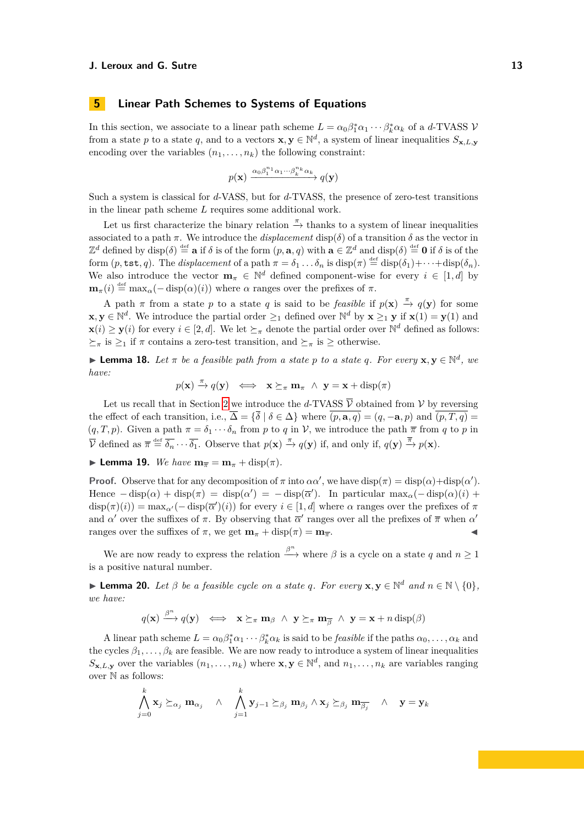# <span id="page-12-0"></span>**5 Linear Path Schemes to Systems of Equations**

In this section, we associate to a linear path scheme  $L = \alpha_0 \beta_1^* \alpha_1 \cdots \beta_k^* \alpha_k$  of a *d*-TVASS  $V$ from a state p to a state q, and to a vectors  $\mathbf{x}, \mathbf{y} \in \mathbb{N}^d$ , a system of linear inequalities  $S_{\mathbf{x},L,\mathbf{y}}$ encoding over the variables  $(n_1, \ldots, n_k)$  the following constraint:

$$
p(\mathbf{x}) \xrightarrow{\alpha_0 \beta_1^{n_1} \alpha_1 \cdots \beta_k^{n_k} \alpha_k} q(\mathbf{y})
$$

Such a system is classical for *d*-VASS, but for *d*-TVASS, the presence of zero-test transitions in the linear path scheme *L* requires some additional work.

Let us first characterize the binary relation  $\stackrel{\pi}{\rightarrow}$  thanks to a system of linear inequalities associated to a path  $\pi$ . We introduce the *displacement* disp( $\delta$ ) of a transition  $\delta$  as the vector in  $\mathbb{Z}^d$  defined by  $\text{disp}(\delta) \stackrel{\text{def}}{=} \mathbf{a}$  if  $\delta$  is of the form  $(p, \mathbf{a}, q)$  with  $\mathbf{a} \in \mathbb{Z}^d$  and  $\text{disp}(\delta) \stackrel{\text{def}}{=} \mathbf{0}$  if  $\delta$  is of the form  $(p, \texttt{tst}, q)$ . The *displacement* of a path  $\pi = \delta_1 \dots \delta_n$  is  $\text{disp}(\pi) \stackrel{\text{def}}{=} \text{disp}(\delta_1) + \dots + \text{disp}(\delta_n)$ . We also introduce the vector  $\mathbf{m}_{\pi} \in \mathbb{N}^d$  defined component-wise for every  $i \in [1, d]$  by  $\mathbf{m}_{\pi}(i) \stackrel{\text{def}}{=} \max_{\alpha}(-\text{disp}(\alpha)(i))$  where  $\alpha$  ranges over the prefixes of  $\pi$ .

A path  $\pi$  from a state  $p$  to a state  $q$  is said to be *feasible* if  $p(\mathbf{x}) \stackrel{\pi}{\to} q(\mathbf{y})$  for some **x**, **y** ∈  $\mathbb{N}^d$ . We introduce the partial order  $\geq_1$  defined over  $\mathbb{N}^d$  by **x**  $\geq_1$  **y** if **x**(1) = **y**(1) and  $\mathbf{x}(i) \geq \mathbf{y}(i)$  for every  $i \in [2, d]$ . We let  $\succeq_{\pi}$  denote the partial order over  $\mathbb{N}^d$  defined as follows:  $\geq_{\pi}$  is  $\geq_1$  if  $\pi$  contains a zero-test transition, and  $\geq_{\pi}$  is  $\geq$  otherwise.

<span id="page-12-1"></span>**Lemma 18.** Let  $\pi$  be a feasible path from a state p to a state q. For every  $\mathbf{x}, \mathbf{y} \in \mathbb{N}^d$ , we *have:*

$$
p(\mathbf{x}) \stackrel{\pi}{\rightarrow} q(\mathbf{y}) \iff \mathbf{x} \succeq_{\pi} \mathbf{m}_{\pi} \land \mathbf{y} = \mathbf{x} + \text{disp}(\pi)
$$

Let us recall that in Section [2](#page-2-0) we introduce the *d*-TVASS  $\overline{V}$  obtained from V by reversing the effect of each transition, i.e.,  $\overline{\Delta} = {\overline{\delta} \mid \delta \in \Delta}$  where  $\overline{(p, \mathbf{a}, q)} = (q, -\mathbf{a}, p)$  and  $\overline{(p, T, q)} =$  $(q, T, p)$ . Given a path  $\pi = \delta_1 \cdots \delta_n$  from *p* to *q* in *V*, we introduce the path  $\pi$  from *q* to *p* in  $\overline{\mathcal{V}}$  defined as  $\overline{\pi} \stackrel{\text{def}}{=} \overline{\delta_n} \cdots \overline{\delta_1}$ . Observe that  $p(\mathbf{x}) \stackrel{\pi}{\to} q(\mathbf{y})$  if, and only if,  $q(\mathbf{y}) \stackrel{\overline{\pi}}{\to} p(\mathbf{x})$ .

<span id="page-12-3"></span>**I** Lemma 19. *We have*  $\mathbf{m}_{\overline{\pi}} = \mathbf{m}_{\pi} + \text{disp}(\pi)$ .

**Proof.** Observe that for any decomposition of  $\pi$  into  $\alpha\alpha'$ , we have disp( $\pi$ ) = disp( $\alpha$ )+disp( $\alpha'$ ). Hence  $-\text{disp}(\alpha) + \text{disp}(\pi) = \text{disp}(\alpha') = -\text{disp}(\overline{\alpha}')$ . In particular  $\max_{\alpha}(-\text{disp}(\alpha)(i) +$  $\text{disp}(\pi)(i) = \max_{\alpha'}(-\text{disp}(\overline{\alpha}')(i))$  for every  $i \in [1, d]$  where  $\alpha$  ranges over the prefixes of  $\pi$ and *α*' over the suffixes of  $\pi$ . By observing that  $\overline{\alpha}'$  ranges over all the prefixes of  $\overline{\pi}$  when  $\alpha'$ ranges over the suffixes of  $\pi$ , we get  $\mathbf{m}_{\pi} + \text{disp}(\pi) = \mathbf{m}_{\overline{\pi}}$ .

We are now ready to express the relation  $\stackrel{\beta^n}{\longrightarrow}$  where  $\beta$  is a cycle on a state *q* and  $n \ge 1$ is a positive natural number.

<span id="page-12-2"></span>**Example 20.** *Let*  $\beta$  *be a feasible cycle on a state q. For every*  $\mathbf{x}, \mathbf{y} \in \mathbb{N}^d$  *and*  $n \in \mathbb{N} \setminus \{0\}$ *, we have:*

$$
q(\mathbf{x}) \xrightarrow{\beta^n} q(\mathbf{y}) \iff \mathbf{x} \succeq_{\pi} \mathbf{m}_{\beta} \land \mathbf{y} \succeq_{\pi} \mathbf{m}_{\overline{\beta}} \land \mathbf{y} = \mathbf{x} + n \operatorname{disp}(\beta)
$$

A linear path scheme  $L = \alpha_0 \beta_1^* \alpha_1 \cdots \beta_k^* \alpha_k$  is said to be *feasible* if the paths  $\alpha_0, \ldots, \alpha_k$  and the cycles  $\beta_1, \ldots, \beta_k$  are feasible. We are now ready to introduce a system of linear inequalities  $S_{\mathbf{x},L,\mathbf{y}}$  over the variables  $(n_1,\ldots,n_k)$  where  $\mathbf{x},\mathbf{y}\in\mathbb{N}^d$ , and  $n_1,\ldots,n_k$  are variables ranging over N as follows:

$$
\bigwedge_{j=0}^k \mathbf{x}_j \succeq_{\alpha_j} \mathbf{m}_{\alpha_j} \quad \wedge \quad \bigwedge_{j=1}^k \mathbf{y}_{j-1} \succeq_{\beta_j} \mathbf{m}_{\beta_j} \wedge \mathbf{x}_j \succeq_{\beta_j} \mathbf{m}_{\overline{\beta_j}} \quad \wedge \quad \mathbf{y} = \mathbf{y}_k
$$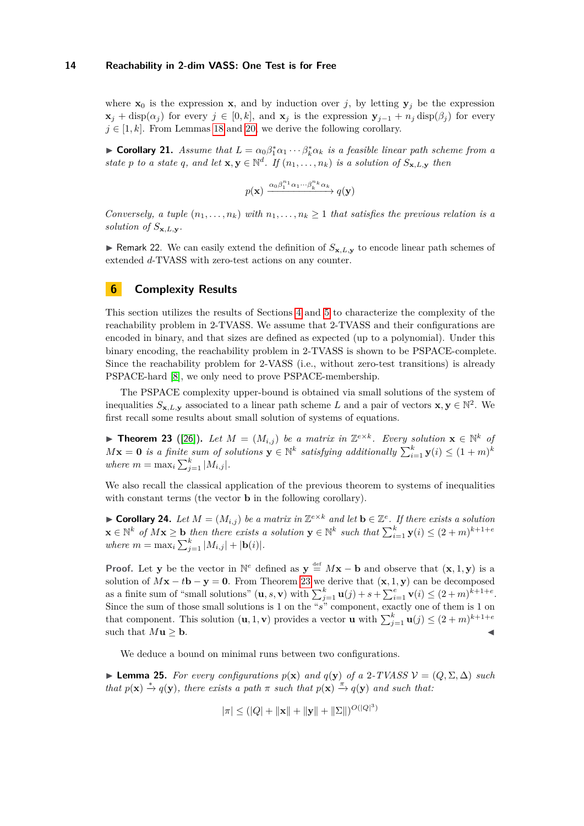where  $\mathbf{x}_0$  is the expression **x**, and by induction over *j*, by letting  $\mathbf{y}_j$  be the expression **x**<sub>*j*</sub> + disp( $α_j$ ) for every  $j ∈ [0, k]$ , and  $\mathbf{x}_j$  is the expression  $\mathbf{y}_{j-1} + n_j \text{ disp}(\beta_j)$  for every  $j \in [1, k]$ . From Lemmas [18](#page-12-1) and [20,](#page-12-2) we derive the following corollary.

<span id="page-13-2"></span>**► Corollary 21.** *Assume that*  $L = \alpha_0 \beta_1^* \alpha_1 \cdots \beta_k^* \alpha_k$  *is a feasible linear path scheme from a state p to a state q, and let*  $\mathbf{x}, \mathbf{y} \in \mathbb{N}^d$ *. If*  $(n_1, \ldots, n_k)$  *is a solution of*  $S_{\mathbf{x}, L, \mathbf{y}}$  *then* 

$$
p(\mathbf{x}) \xrightarrow{\alpha_0 \beta_1^{n_1} \alpha_1 \cdots \beta_k^{n_k} \alpha_k} q(\mathbf{y})
$$

*Conversely, a tuple*  $(n_1, \ldots, n_k)$  *with*  $n_1, \ldots, n_k \geq 1$  *that satisfies the previous relation is a solution of*  $S_{\mathbf{x},L,\mathbf{v}}$ *.* 

**If Remark 22.** We can easily extend the definition of  $S_{\mathbf{x},L,\mathbf{y}}$  to encode linear path schemes of extended *d*-TVASS with zero-test actions on any counter.

# <span id="page-13-0"></span>**6 Complexity Results**

This section utilizes the results of Sections [4](#page-10-0) and [5](#page-12-0) to characterize the complexity of the reachability problem in 2-TVASS. We assume that 2-TVASS and their configurations are encoded in binary, and that sizes are defined as expected (up to a polynomial). Under this binary encoding, the reachability problem in 2-TVASS is shown to be PSPACE-complete. Since the reachability problem for 2-VASS (i.e., without zero-test transitions) is already PSPACE-hard [\[8\]](#page-15-12), we only need to prove PSPACE-membership.

The PSPACE complexity upper-bound is obtained via small solutions of the system of inequalities  $S_{\mathbf{x},L,\mathbf{y}}$  associated to a linear path scheme *L* and a pair of vectors  $\mathbf{x}, \mathbf{y} \in \mathbb{N}^2$ . We first recall some results about small solution of systems of equations.

<span id="page-13-1"></span>▶ **Theorem 23** ([\[26\]](#page-16-3)). Let  $M = (M_{i,j})$  be a matrix in  $\mathbb{Z}^{e \times k}$ . Every solution  $\mathbf{x} \in \mathbb{N}^k$  of  $M$ **x** = **0** *is a finite sum of solutions*  $\mathbf{y} \in \mathbb{N}^k$  *satisfying additionally*  $\sum_{i=1}^k \mathbf{y}(i) \leq (1+m)^k$ *where*  $m = \max_{i} \sum_{j=1}^{k} |M_{i,j}|$ .

We also recall the classical application of the previous theorem to systems of inequalities with constant terms (the vector **b** in the following corollary).

<span id="page-13-3"></span>▶ **Corollary 24.** *Let*  $M = (M_{i,j})$  *be a matrix in*  $\mathbb{Z}^{e \times k}$  *and let*  $\mathbf{b} \in \mathbb{Z}^e$ *. If there exists a solution*  $\mathbf{x} \in \mathbb{N}^k$  *of*  $M\mathbf{x} \geq \mathbf{b}$  *then there exists a solution*  $\mathbf{y} \in \mathbb{N}^k$  *such that*  $\sum_{i=1}^k \mathbf{y}(i) \leq (2+m)^{k+1+e}$  $where m = \max_{i} \sum_{j=1}^{k} |M_{i,j}| + |\mathbf{b}(i)|.$ 

**Proof.** Let **y** be the vector in  $\mathbb{N}^e$  defined as  $\mathbf{y} \stackrel{\text{def}}{=} M\mathbf{x} - \mathbf{b}$  and observe that  $(\mathbf{x}, 1, \mathbf{y})$  is a solution of  $Mx - t$ **b** − **y** = **0**. From Theorem [23](#page-13-1) we derive that  $(x, 1, y)$  can be decomposed as a finite sum of "small solutions"  $(\mathbf{u}, s, \mathbf{v})$  with  $\sum_{j=1}^{k} \mathbf{u}(j) + s + \sum_{i=1}^{e} \mathbf{v}(i) \leq (2+m)^{k+1+e}$ . Since the sum of those small solutions is 1 on the "*s*" component, exactly one of them is 1 on that component. This solution  $(\mathbf{u}, 1, \mathbf{v})$  provides a vector **u** with  $\sum_{j=1}^{k} \mathbf{u}(j) \leq (2+m)^{k+1+e}$ such that  $M$ **u**  $\geq$  **b**.

We deduce a bound on minimal runs between two configurations.

<span id="page-13-4"></span>► **Lemma 25.** *For every configurations*  $p(x)$  *and*  $q(y)$  *of a* 2*-TVASS*  $V = (Q, \Sigma, \Delta)$  *such that*  $p(x) \stackrel{*}{\rightarrow} q(y)$ *, there exists a path*  $\pi$  *such that*  $p(x) \stackrel{\pi}{\rightarrow} q(y)$  *and such that:* 

$$
|\pi| \le (|Q| + ||\mathbf{x}|| + ||\mathbf{y}|| + ||\Sigma||)^{O(|Q|^3)}
$$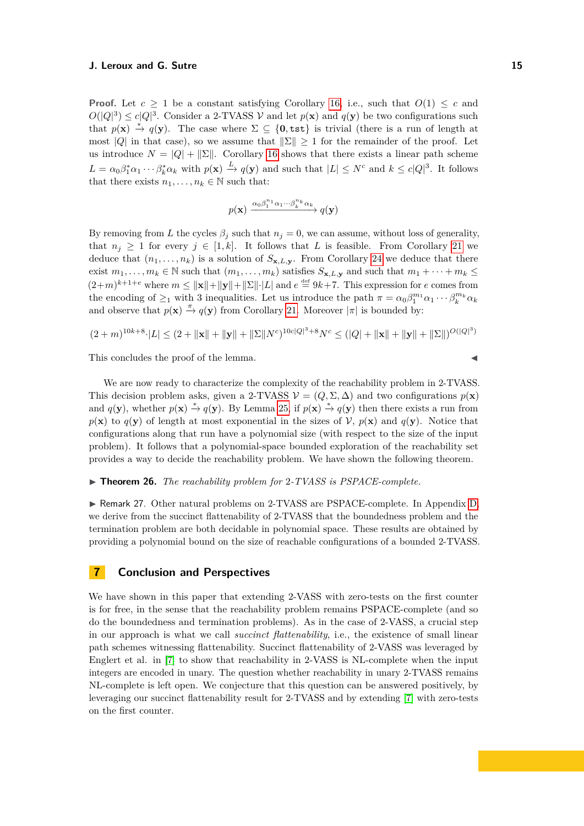**Proof.** Let  $c \geq 1$  be a constant satisfying Corollary [16,](#page-11-0) i.e., such that  $O(1) \leq c$  and  $O(|Q|^3) \leq c|Q|^3$ . Consider a 2-TVASS V and let  $p(\mathbf{x})$  and  $q(\mathbf{y})$  be two configurations such that  $p(\mathbf{x}) \stackrel{*}{\to} q(\mathbf{y})$ . The case where  $\Sigma \subseteq \{0, \text{tst}\}\$ is trivial (there is a run of length at most |*Q*| in that case), so we assume that  $\|\Sigma\| \geq 1$  for the remainder of the proof. Let us introduce  $N = |Q| + ||\Sigma||$ . Corollary [16](#page-11-0) shows that there exists a linear path scheme  $L = \alpha_0 \beta_1^* \alpha_1 \cdots \beta_k^* \alpha_k$  with  $p(\mathbf{x}) \xrightarrow{L} q(\mathbf{y})$  and such that  $|L| \leq N^c$  and  $k \leq c|Q|^3$ . It follows that there exists  $n_1, \ldots, n_k \in \mathbb{N}$  such that:

$$
p(\mathbf{x}) \xrightarrow{\alpha_0 \beta_1^{n_1} \alpha_1 \cdots \beta_k^{n_k} \alpha_k} q(\mathbf{y})
$$

By removing from *L* the cycles  $\beta_j$  such that  $n_j = 0$ , we can assume, without loss of generality, that  $n_j \geq 1$  for every  $j \in [1, k]$ . It follows that *L* is feasible. From Corollary [21](#page-13-2) we deduce that  $(n_1, \ldots, n_k)$  is a solution of  $S_{\mathbf{x},L,\mathbf{y}}$ . From Corollary [24](#page-13-3) we deduce that there exist  $m_1, \ldots, m_k \in \mathbb{N}$  such that  $(m_1, \ldots, m_k)$  satisfies  $S_{\mathbf{x}, L, \mathbf{y}}$  and such that  $m_1 + \cdots + m_k \leq$  $(2+m)^{k+1+e}$  where  $m \le ||\mathbf{x}|| + ||\mathbf{y}|| + ||\Sigma|| \cdot |L|$  and  $e \stackrel{\text{def}}{=} 9k+7$ . This expression for *e* comes from the encoding of  $\geq_1$  with 3 inequalities. Let us introduce the path  $\pi = \alpha_0 \beta_1^{m_1} \alpha_1 \cdots \beta_k^{m_k} \alpha_k$ and observe that  $p(x) \stackrel{\pi}{\rightarrow} q(y)$  from Corollary [21.](#page-13-2) Moreover  $|\pi|$  is bounded by:

$$
(2+m)^{10k+8}\cdot |L| \le (2+\|\mathbf{x}\|+\|\mathbf{y}\|+\|\Sigma\|N^{c})^{10c|Q|^{3}+8}N^{c} \le (|Q|+\|\mathbf{x}\|+\|\mathbf{y}\|+\|\Sigma\|)^{O(|Q|^{3})}
$$

This concludes the proof of the lemma.

We are now ready to characterize the complexity of the reachability problem in 2-TVASS. This decision problem asks, given a 2-TVASS  $\mathcal{V} = (Q, \Sigma, \Delta)$  and two configurations  $p(\mathbf{x})$ and  $q(\mathbf{y})$ , whether  $p(\mathbf{x}) \stackrel{*}{\to} q(\mathbf{y})$ . By Lemma [25,](#page-13-4) if  $p(\mathbf{x}) \stackrel{*}{\to} q(\mathbf{y})$  then there exists a run from  $p(\mathbf{x})$  to  $q(\mathbf{y})$  of length at most exponential in the sizes of  $\mathcal{V}$ ,  $p(\mathbf{x})$  and  $q(\mathbf{y})$ . Notice that configurations along that run have a polynomial size (with respect to the size of the input problem). It follows that a polynomial-space bounded exploration of the reachability set provides a way to decide the reachability problem. We have shown the following theorem.

### ▶ **Theorem 26.** *The reachability problem for* 2-*TVASS is PSPACE-complete.*

► Remark 27. Other natural problems on 2-TVASS are PSPACE-complete. In Appendix [D,](#page-21-0) we derive from the succinct flattenability of 2-TVASS that the boundedness problem and the termination problem are both decidable in polynomial space. These results are obtained by providing a polynomial bound on the size of reachable configurations of a bounded 2-TVASS.

# **7 Conclusion and Perspectives**

We have shown in this paper that extending 2-VASS with zero-tests on the first counter is for free, in the sense that the reachability problem remains PSPACE-complete (and so do the boundedness and termination problems). As in the case of 2-VASS, a crucial step in our approach is what we call *succinct flattenability*, i.e., the existence of small linear path schemes witnessing flattenability. Succinct flattenability of 2-VASS was leveraged by Englert et al. in [\[7\]](#page-15-22) to show that reachability in 2-VASS is NL-complete when the input integers are encoded in unary. The question whether reachability in unary 2-TVASS remains NL-complete is left open. We conjecture that this question can be answered positively, by leveraging our succinct flattenability result for 2-TVASS and by extending [\[7\]](#page-15-22) with zero-tests on the first counter.

$$
\blacktriangleleft
$$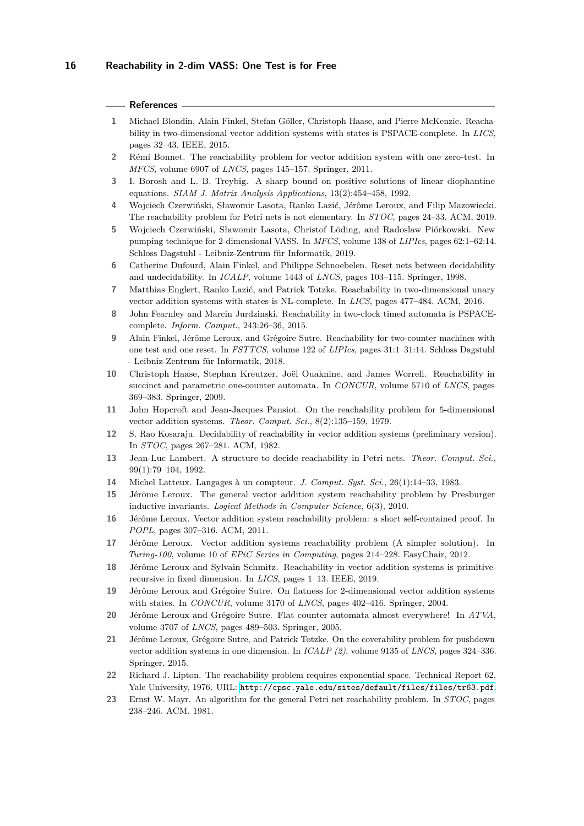#### **References**

- <span id="page-15-15"></span>**1** Michael Blondin, Alain Finkel, Stefan Göller, Christoph Haase, and Pierre McKenzie. Reachability in two-dimensional vector addition systems with states is PSPACE-complete. In *LICS*, pages 32–43. IEEE, 2015.
- <span id="page-15-11"></span>**2** Rémi Bonnet. The reachability problem for vector addition system with one zero-test. In *MFCS*, volume 6907 of *LNCS*, pages 145–157. Springer, 2011.
- <span id="page-15-16"></span>**3** I. Borosh and L. B. Treybig. A sharp bound on positive solutions of linear diophantine equations. *SIAM J. Matrix Analysis Applications*, 13(2):454–458, 1992.
- <span id="page-15-8"></span>**4** Wojciech Czerwiński, Sławomir Lasota, Ranko Lazić, Jérôme Leroux, and Filip Mazowiecki. The reachability problem for Petri nets is not elementary. In *STOC*, pages 24–33. ACM, 2019.
- <span id="page-15-13"></span>**5** Wojciech Czerwiński, Sławomir Lasota, Christof Löding, and Radoslaw Piórkowski. New pumping technique for 2-dimensional VASS. In *MFCS*, volume 138 of *LIPIcs*, pages 62:1–62:14. Schloss Dagstuhl - Leibniz-Zentrum für Informatik, 2019.
- <span id="page-15-17"></span>**6** Catherine Dufourd, Alain Finkel, and Philippe Schnoebelen. Reset nets between decidability and undecidability. In *ICALP*, volume 1443 of *LNCS*, pages 103–115. Springer, 1998.
- <span id="page-15-22"></span>**7** Matthias Englert, Ranko Lazić, and Patrick Totzke. Reachability in two-dimensional unary vector addition systems with states is NL-complete. In *LICS*, pages 477–484. ACM, 2016.
- <span id="page-15-12"></span>**8** John Fearnley and Marcin Jurdzinski. Reachability in two-clock timed automata is PSPACEcomplete. *Inform. Comput.*, 243:26–36, 2015.
- <span id="page-15-18"></span>**9** Alain Finkel, Jérôme Leroux, and Grégoire Sutre. Reachability for two-counter machines with one test and one reset. In *FSTTCS*, volume 122 of *LIPIcs*, pages 31:1–31:14. Schloss Dagstuhl - Leibniz-Zentrum für Informatik, 2018.
- <span id="page-15-10"></span>**10** Christoph Haase, Stephan Kreutzer, Joël Ouaknine, and James Worrell. Reachability in succinct and parametric one-counter automata. In *CONCUR*, volume 5710 of *LNCS*, pages 369–383. Springer, 2009.
- <span id="page-15-1"></span>**11** John Hopcroft and Jean-Jacques Pansiot. On the reachability problem for 5-dimensional vector addition systems. *Theor. Comput. Sci.*, 8(2):135–159, 1979.
- <span id="page-15-3"></span>**12** S. Rao Kosaraju. Decidability of reachability in vector addition systems (preliminary version). In *STOC*, pages 267–281. ACM, 1982.
- <span id="page-15-4"></span>**13** Jean-Luc Lambert. A structure to decide reachability in Petri nets. *Theor. Comput. Sci.*, 99(1):79–104, 1992.
- <span id="page-15-21"></span>**14** Michel Latteux. Langages à un compteur. *J. Comput. Syst. Sci.*, 26(1):14–33, 1983.
- <span id="page-15-5"></span>**15** Jérôme Leroux. The general vector addition system reachability problem by Presburger inductive invariants. *Logical Methods in Computer Science*, 6(3), 2010.
- <span id="page-15-6"></span>**16** Jérôme Leroux. Vector addition system reachability problem: a short self-contained proof. In *POPL*, pages 307–316. ACM, 2011.
- <span id="page-15-7"></span>**17** Jérôme Leroux. Vector addition systems reachability problem (A simpler solution). In *Turing-100*, volume 10 of *EPiC Series in Computing*, pages 214–228. EasyChair, 2012.
- <span id="page-15-9"></span>**18** Jérôme Leroux and Sylvain Schmitz. Reachability in vector addition systems is primitiverecursive in fixed dimension. In *LICS*, pages 1–13. IEEE, 2019.
- <span id="page-15-14"></span>**19** Jérôme Leroux and Grégoire Sutre. On flatness for 2-dimensional vector addition systems with states. In *CONCUR*, volume 3170 of *LNCS*, pages 402–416. Springer, 2004.
- <span id="page-15-20"></span>**20** Jérôme Leroux and Grégoire Sutre. Flat counter automata almost everywhere! In *ATVA*, volume 3707 of *LNCS*, pages 489–503. Springer, 2005.
- <span id="page-15-19"></span>**21** Jérôme Leroux, Grégoire Sutre, and Patrick Totzke. On the coverability problem for pushdown vector addition systems in one dimension. In *ICALP (2)*, volume 9135 of *LNCS*, pages 324–336. Springer, 2015.
- <span id="page-15-0"></span>**22** Richard J. Lipton. The reachability problem requires exponential space. Technical Report 62, Yale University, 1976. URL: <http://cpsc.yale.edu/sites/default/files/files/tr63.pdf>.
- <span id="page-15-2"></span>**23** Ernst W. Mayr. An algorithm for the general Petri net reachability problem. In *STOC*, pages 238–246. ACM, 1981.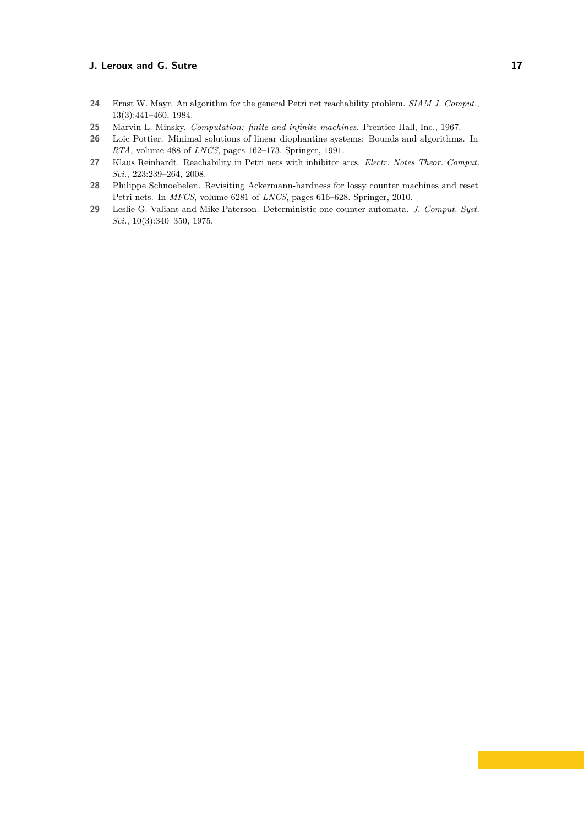- <span id="page-16-0"></span>**24** Ernst W. Mayr. An algorithm for the general Petri net reachability problem. *SIAM J. Comput.*, 13(3):441–460, 1984.
- <span id="page-16-1"></span>**25** Marvin L. Minsky. *Computation: finite and infinite machines*. Prentice-Hall, Inc., 1967.
- <span id="page-16-3"></span>**26** Loic Pottier. Minimal solutions of linear diophantine systems: Bounds and algorithms. In *RTA*, volume 488 of *LNCS*, pages 162–173. Springer, 1991.
- <span id="page-16-2"></span>**27** Klaus Reinhardt. Reachability in Petri nets with inhibitor arcs. *Electr. Notes Theor. Comput. Sci.*, 223:239–264, 2008.
- <span id="page-16-4"></span>**28** Philippe Schnoebelen. Revisiting Ackermann-hardness for lossy counter machines and reset Petri nets. In *MFCS*, volume 6281 of *LNCS*, pages 616–628. Springer, 2010.
- <span id="page-16-5"></span>**29** Leslie G. Valiant and Mike Paterson. Deterministic one-counter automata. *J. Comput. Syst. Sci.*, 10(3):340–350, 1975.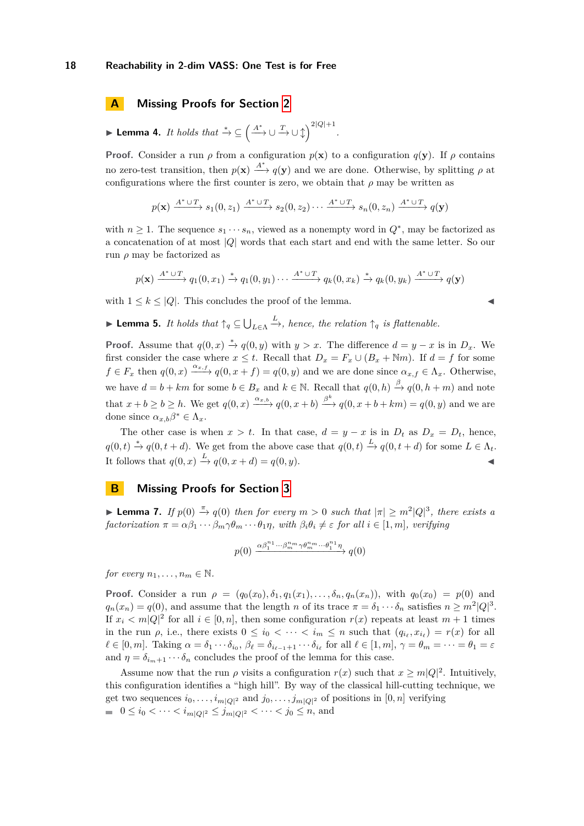# **A Missing Proofs for Section [2](#page-2-0)**

► Lemma 4. *It holds that*  $x^* \text{ } \subseteq \left( \xrightarrow{A^*} \cup \xrightarrow{T} \cup \updownarrow \right)$ <sup>2|Q|+1</sup>.

**Proof.** Consider a run  $\rho$  from a configuration  $p(\mathbf{x})$  to a configuration  $q(\mathbf{y})$ . If  $\rho$  contains no zero-test transition, then  $p(\mathbf{x}) \stackrel{A^*}{\longrightarrow} q(\mathbf{y})$  and we are done. Otherwise, by splitting  $\rho$  at configurations where the first counter is zero, we obtain that  $\rho$  may be written as

$$
p(\mathbf{x}) \xrightarrow{A^* \cup T} s_1(0, z_1) \xrightarrow{A^* \cup T} s_2(0, z_2) \cdots \xrightarrow{A^* \cup T} s_n(0, z_n) \xrightarrow{A^* \cup T} q(\mathbf{y})
$$

with  $n \geq 1$ . The sequence  $s_1 \cdots s_n$ , viewed as a nonempty word in  $Q^*$ , may be factorized as a concatenation of at most |*Q*| words that each start and end with the same letter. So our run *ρ* may be factorized as

$$
p(\mathbf{x}) \xrightarrow{A^* \cup T} q_1(0, x_1) \xrightarrow{*} q_1(0, y_1) \cdots \xrightarrow{A^* \cup T} q_k(0, x_k) \xrightarrow{*} q_k(0, y_k) \xrightarrow{A^* \cup T} q(\mathbf{y})
$$

with  $1 \leq k \leq |Q|$ . This concludes the proof of the lemma.

$$
\blacktriangleleft
$$

**If Lemma 5.** *It holds that*  $\uparrow_q \subseteq \bigcup_{L \in \Lambda}$  $\stackrel{L}{\longrightarrow}$ *, hence, the relation*  $\uparrow_q$  *is flattenable.* 

**Proof.** Assume that  $q(0, x) \stackrel{*}{\rightarrow} q(0, y)$  with  $y > x$ . The difference  $d = y - x$  is in  $D_x$ . We first consider the case where  $x \leq t$ . Recall that  $D_x = F_x \cup (B_x + \mathbb{N}m)$ . If  $d = f$  for some  $f \in F_x$  then  $q(0, x) \xrightarrow{\alpha_x, f} q(0, x + f) = q(0, y)$  and we are done since  $\alpha_{x, f} \in \Lambda_x$ . Otherwise, we have  $d = b + km$  for some  $b \in B_x$  and  $k \in \mathbb{N}$ . Recall that  $q(0, h) \stackrel{\beta}{\to} q(0, h+m)$  and note that  $x + b \ge b \ge h$ . We get  $q(0, x) \xrightarrow{\alpha_{x,b}} q(0, x + b) \xrightarrow{\beta^k} q(0, x + b + km) = q(0, y)$  and we are done since  $\alpha_{x,b}\beta^* \in \Lambda_x$ .

The other case is when  $x > t$ . In that case,  $d = y - x$  is in  $D_t$  as  $D_x = D_t$ , hence,  $q(0,t) \stackrel{*}{\rightarrow} q(0,t+d)$ . We get from the above case that  $q(0,t) \stackrel{L}{\rightarrow} q(0,t+d)$  for some  $L \in \Lambda_t$ . It follows that  $q(0, x) \stackrel{L}{\rightarrow} q(0, x+d) = q(0, y)$ .

# **B Missing Proofs for Section [3](#page-6-0)**

**► Lemma 7.** *If*  $p(0) \stackrel{\pi}{\rightarrow} q(0)$  *then for every*  $m > 0$  *such that*  $|\pi| \geq m^2 |Q|^3$ , *there exists a*  $factorization \ \pi = \alpha \beta_1 \cdots \beta_m \gamma \theta_m \cdots \theta_1 \eta, \ with \ \beta_i \theta_i \neq \varepsilon \ \text{for all } i \in [1, m], \ \text{verifying}$ 

$$
p(0) \xrightarrow{\alpha \beta_1^{n_1} \cdots \beta_m^{n_m} \gamma \theta_m^{n_m} \cdots \theta_1^{n_1} \eta} q(0)
$$

*for every*  $n_1, \ldots, n_m \in \mathbb{N}$ .

**Proof.** Consider a run  $\rho = (q_0(x_0), \delta_1, q_1(x_1), \ldots, \delta_n, q_n(x_n))$ , with  $q_0(x_0) = p(0)$  and  $q_n(x_n) = q(0)$ , and assume that the length *n* of its trace  $\pi = \delta_1 \cdots \delta_n$  satisfies  $n \geq m^2 |Q|^3$ . If  $x_i < m|Q|^2$  for all  $i \in [0, n]$ , then some configuration  $r(x)$  repeats at least  $m+1$  times in the run  $\rho$ , i.e., there exists  $0 \leq i_0 < \cdots < i_m \leq n$  such that  $(q_{i_\ell}, x_{i_\ell}) = r(x)$  for all  $\ell \in [0, m]$ . Taking  $\alpha = \delta_1 \cdots \delta_{i_0}, \beta_\ell = \delta_{i_{\ell-1}+1} \cdots \delta_{i_\ell}$  for all  $\ell \in [1, m]$ ,  $\gamma = \theta_m = \cdots = \theta_1 = \varepsilon$ and  $\eta = \delta_{i_m+1} \cdots \delta_n$  concludes the proof of the lemma for this case.

Assume now that the run  $\rho$  visits a configuration  $r(x)$  such that  $x \ge m|Q|^2$ . Intuitively, this configuration identifies a "high hill". By way of the classical hill-cutting technique, we get two sequences  $i_0, \ldots, i_{m|Q|^2}$  and  $j_0, \ldots, j_{m|Q|^2}$  of positions in  $[0, n]$  verifying  $0 \le i_0 < \cdots < i_{m|Q|^2} \le j_{m|Q|^2} < \cdots < j_0 \le n$ , and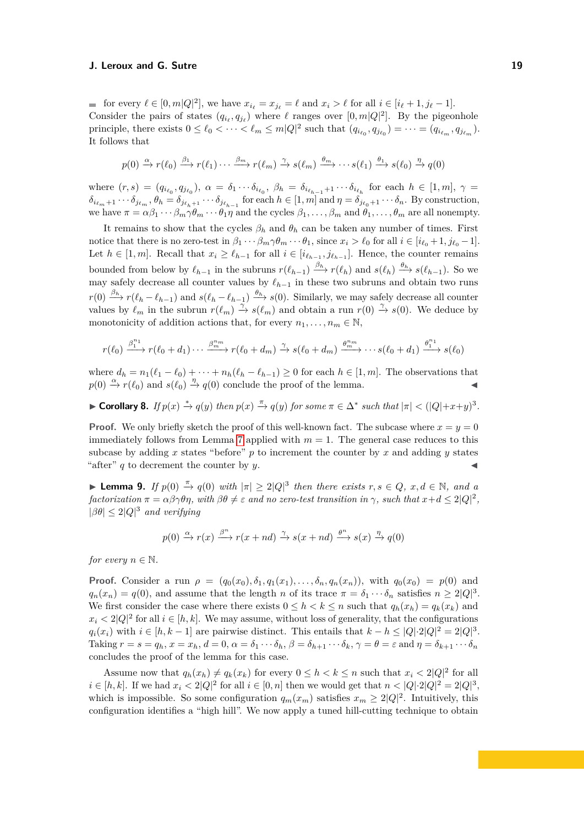for every  $\ell \in [0, m]Q|^2$ , we have  $x_{i_\ell} = x_{j_\ell} = \ell$  and  $x_i > \ell$  for all  $i \in [i_\ell + 1, j_\ell - 1]$ . Consider the pairs of states  $(q_{i_\ell}, q_{j_\ell})$  where  $\ell$  ranges over  $[0, m|Q|^2]$ . By the pigeonhole principle, there exists  $0 \leq \ell_0 < \cdots < \ell_m \leq m|Q|^2$  such that  $(q_{i_{\ell_0}}, q_{j_{\ell_0}}) = \cdots = (q_{i_{\ell_m}}, q_{j_{\ell_m}})$ . It follows that

$$
p(0) \xrightarrow{\alpha} r(\ell_0) \xrightarrow{\beta_1} r(\ell_1) \cdots \xrightarrow{\beta_m} r(\ell_m) \xrightarrow{\gamma} s(\ell_m) \xrightarrow{\theta_m} \cdots s(\ell_1) \xrightarrow{\theta_1} s(\ell_0) \xrightarrow{\eta} q(0)
$$

where  $(r, s) = (q_{i_{\ell_0}}, q_{j_{\ell_0}}), \ \alpha = \delta_1 \cdots \delta_{i_{\ell_0}}, \ \beta_h = \delta_{i_{\ell_{h-1}}+1} \cdots \delta_{i_{\ell_h}}$  for each  $h \in [1, m], \ \gamma =$  $\delta_{i_{\ell_m}+1}\cdots\delta_{j_{\ell_m}}, \theta_h=\delta_{j_{\ell_{h}+1}}\cdots\delta_{j_{\ell_{h-1}}}$  for each  $h\in[1,m]$  and  $\eta=\delta_{j_{\ell_0}+1}\cdots\delta_n$ . By construction, we have  $\pi = \alpha \beta_1 \cdots \beta_m \gamma \theta_m \cdots \theta_1 \eta$  and the cycles  $\beta_1, \ldots, \beta_m$  and  $\theta_1, \ldots, \theta_m$  are all nonempty.

It remains to show that the cycles  $\beta_h$  and  $\theta_h$  can be taken any number of times. First notice that there is no zero-test in  $\beta_1 \cdots \beta_m \gamma \theta_m \cdots \theta_1$ , since  $x_i > \ell_0$  for all  $i \in [i_{\ell_0} + 1, j_{\ell_0} - 1]$ . Let  $h \in [1, m]$ . Recall that  $x_i \geq \ell_{h-1}$  for all  $i \in [i_{\ell_{h-1}}, j_{\ell_{h-1}}]$ . Hence, the counter remains bounded from below by  $\ell_{h-1}$  in the subruns  $r(\ell_{h-1}) \xrightarrow{\beta_h} r(\ell_h)$  and  $s(\ell_h) \xrightarrow{\theta_h} s(\ell_{h-1})$ . So we may safely decrease all counter values by  $\ell_{h-1}$  in these two subruns and obtain two runs  $r(0) \xrightarrow{\beta_h} r(\ell_h - \ell_{h-1})$  and  $s(\ell_h - \ell_{h-1}) \xrightarrow{\theta_h} s(0)$ . Similarly, we may safely decrease all counter values by  $\ell_m$  in the subrun  $r(\ell_m) \stackrel{\gamma}{\to} s(\ell_m)$  and obtain a run  $r(0) \stackrel{\gamma}{\to} s(0)$ . We deduce by monotonicity of addition actions that, for every  $n_1, \ldots, n_m \in \mathbb{N}$ ,

$$
r(\ell_0) \xrightarrow{\beta_1^{n_1}} r(\ell_0 + d_1) \cdots \xrightarrow{\beta_m^{n_m}} r(\ell_0 + d_m) \xrightarrow{\gamma} s(\ell_0 + d_m) \xrightarrow{\theta_m^{n_m}} \cdots s(\ell_0 + d_1) \xrightarrow{\theta_1^{n_1}} s(\ell_0)
$$

where  $d_h = n_1(\ell_1 - \ell_0) + \cdots + n_h(\ell_h - \ell_{h-1}) \geq 0$  for each  $h \in [1, m]$ . The observations that  $p(0) \xrightarrow{\alpha} r(\ell_0)$  and  $s(\ell_0) \xrightarrow{\eta} q(0)$  conclude the proof of the lemma.

► Corollary 8. If  $p(x) \stackrel{*}{\to} q(y)$  then  $p(x) \stackrel{\pi}{\to} q(y)$  for some  $\pi \in \Delta^*$  such that  $|\pi| < (|Q|+x+y)^3$ .

**Proof.** We only briefly sketch the proof of this well-known fact. The subcase where  $x = y = 0$ immediately follows from Lemma [7](#page-6-1) applied with  $m = 1$ . The general case reduces to this subcase by adding  $x$  states "before"  $p$  to increment the counter by  $x$  and adding  $y$  states "after"  $q$  to decrement the counter by  $y$ .

**► Lemma 9.** *If*  $p(0) \stackrel{\pi}{\rightarrow} q(0)$  *with*  $|\pi| \geq 2|Q|^3$  *then there exists*  $r, s \in Q, x, d \in \mathbb{N}$ *, and a*  $\int$ *factorization*  $\pi = \alpha \beta \gamma \theta \eta$ , with  $\beta \theta \neq \varepsilon$  and no zero-test transition in  $\gamma$ , such that  $x + d \leq 2|Q|^2$ ,  $|\beta \theta| \leq 2|Q|^3$  *and verifying* 

$$
p(0) \xrightarrow{\alpha} r(x) \xrightarrow{\beta^n} r(x+nd) \xrightarrow{\gamma} s(x+nd) \xrightarrow{\theta^n} s(x) \xrightarrow{\eta} q(0)
$$

*for every*  $n \in \mathbb{N}$ .

**Proof.** Consider a run  $\rho = (q_0(x_0), \delta_1, q_1(x_1), \ldots, \delta_n, q_n(x_n))$ , with  $q_0(x_0) = p(0)$  and  $q_n(x_n) = q(0)$ , and assume that the length *n* of its trace  $\pi = \delta_1 \cdots \delta_n$  satisfies  $n \geq 2|Q|^3$ . We first consider the case where there exists  $0 \leq h < k \leq n$  such that  $q_h(x_h) = q_k(x_k)$  and  $x_i < 2|Q|^2$  for all  $i \in [h, k]$ . We may assume, without loss of generality, that the configurations  $q_i(x_i)$  with  $i \in [h, k-1]$  are pairwise distinct. This entails that  $k - h \leq |Q| \cdot 2|Q|^2 = 2|Q|^3$ . Taking  $r = s = q_h$ ,  $x = x_h$ ,  $d = 0$ ,  $\alpha = \delta_1 \cdots \delta_h$ ,  $\beta = \delta_{h+1} \cdots \delta_k$ ,  $\gamma = \theta = \varepsilon$  and  $\eta = \delta_{k+1} \cdots \delta_n$ concludes the proof of the lemma for this case.

Assume now that  $q_h(x_h) \neq q_k(x_k)$  for every  $0 \leq h < k \leq n$  such that  $x_i < 2|Q|^2$  for all  $i \in [h, k]$ . If we had  $x_i < 2|Q|^2$  for all  $i \in [0, n]$  then we would get that  $n < |Q| \cdot 2|Q|^2 = 2|Q|^3$ , which is impossible. So some configuration  $q_m(x_m)$  satisfies  $x_m \geq 2|Q|^2$ . Intuitively, this configuration identifies a "high hill". We now apply a tuned hill-cutting technique to obtain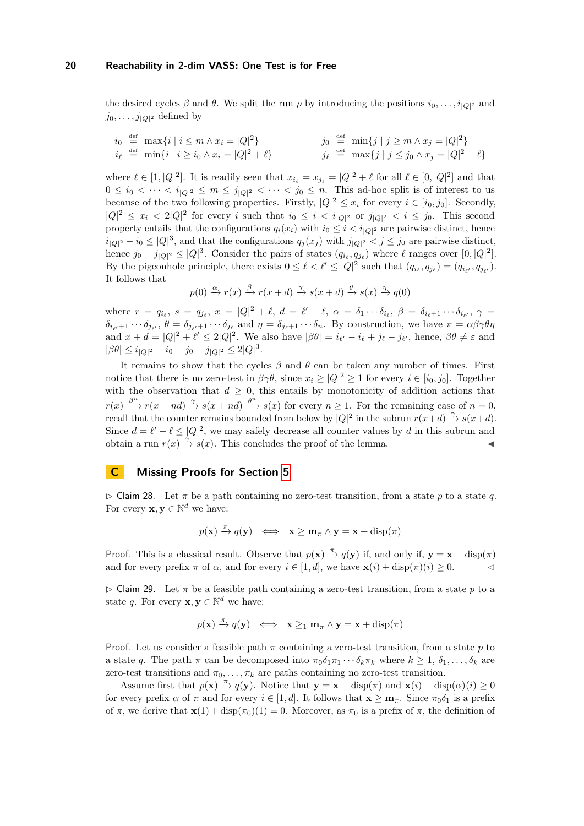the desired cycles  $\beta$  and  $\theta$ . We split the run  $\rho$  by introducing the positions  $i_0, \ldots, i_{|Q|^2}$  and  $j_0, \ldots, j_{|Q|^2}$  defined by

$$
i_0 \stackrel{\text{def}}{=} \max\{i \mid i \le m \land x_i = |Q|^2\} \qquad \qquad j_0 \stackrel{\text{def}}{=} \min\{j \mid j \ge m \land x_j = |Q|^2\} \n i_\ell \stackrel{\text{def}}{=} \min\{i \mid i \ge i_0 \land x_i = |Q|^2 + \ell\} \qquad \qquad j_\ell \stackrel{\text{def}}{=} \max\{j \mid j \le j_0 \land x_j = |Q|^2 + \ell\}
$$

where  $\ell \in [1, |Q|^2]$ . It is readily seen that  $x_{i_\ell} = x_{j_\ell} = |Q|^2 + \ell$  for all  $\ell \in [0, |Q|^2]$  and that  $0 \leq i_0 < \cdots < i_{|Q|^2} \leq m \leq j_{|Q|^2} < \cdots < j_0 \leq n$ . This ad-hoc split is of interest to us because of the two following properties. Firstly,  $|Q|^2 \leq x_i$  for every  $i \in [i_0, j_0]$ . Secondly,  $|Q|^2 \leq x_i < 2|Q|^2$  for every *i* such that  $i_0 \leq i < i_{|Q|^2}$  or  $j_{|Q|^2} < i \leq j_0$ . This second property entails that the configurations  $q_i(x_i)$  with  $i_0 \leq i \leq i_{|Q|^2}$  are pairwise distinct, hence  $i_{|Q|^2} - i_0 \le |Q|^3$ , and that the configurations  $q_j(x_j)$  with  $j_{|Q|^2} < j \le j_0$  are pairwise distinct, hence  $j_0 - j_{|Q|^2} \le |Q|^3$ . Consider the pairs of states  $(q_{i_\ell}, q_{j_\ell})$  where  $\ell$  ranges over  $[0, |Q|^2]$ . By the pigeonhole principle, there exists  $0 \leq \ell < \ell' \leq |Q|^2$  such that  $(q_{i_\ell}, q_{j_\ell}) = (q_{i_{\ell'}}, q_{j_{\ell'}}).$ It follows that

$$
p(0) \xrightarrow{\alpha} r(x) \xrightarrow{\beta} r(x+d) \xrightarrow{\gamma} s(x+d) \xrightarrow{\theta} s(x) \xrightarrow{\eta} q(0)
$$

where  $r = q_{i_{\ell}}, s = q_{j_{\ell}}, x = |Q|^2 + \ell, d = \ell' - \ell, \alpha = \delta_1 \cdots \delta_{i_{\ell}}, \beta = \delta_{i_{\ell}+1} \cdots \delta_{i_{\ell'}}, \gamma =$  $\delta_{i_{\ell'}+1}\cdots\delta_{j_{\ell'}},\ \theta=\delta_{j_{\ell'}+1}\cdots\delta_{j_\ell}$  and  $\eta=\delta_{j_{\ell}+1}\cdots\delta_n$ . By construction, we have  $\pi=\alpha\beta\gamma\theta\eta$ and  $x + d = |Q|^2 + \ell' \leq 2|Q|^2$ . We also have  $|\beta \theta| = i_{\ell'} - i_{\ell} + j_{\ell} - j_{\ell'}$ , hence,  $\beta \theta \neq \varepsilon$  and  $|\beta\theta| \leq i_{|Q|^2} - i_0 + j_0 - j_{|Q|^2} \leq 2|Q|^3.$ 

It remains to show that the cycles  $\beta$  and  $\theta$  can be taken any number of times. First notice that there is no zero-test in  $\beta \gamma \theta$ , since  $x_i \geq |Q|^2 \geq 1$  for every  $i \in [i_0, j_0]$ . Together with the observation that  $d \geq 0$ , this entails by monotonicity of addition actions that  $r(x) \stackrel{\beta^n}{\longrightarrow} r(x+nd) \stackrel{\gamma}{\longrightarrow} s(x+nd) \stackrel{\theta^n}{\longrightarrow} s(x)$  for every  $n \ge 1$ . For the remaining case of  $n = 0$ , recall that the counter remains bounded from below by  $|Q|^2$  in the subrun  $r(x+d) \stackrel{\gamma}{\rightarrow} s(x+d)$ . Since  $d = \ell' - \ell \le |Q|^2$ , we may safely decrease all counter values by *d* in this subrun and obtain a run  $r(x) \stackrel{\gamma}{\rightarrow} s(x)$ . This concludes the proof of the lemma.

# **C Missing Proofs for Section [5](#page-12-0)**

<span id="page-19-0"></span> $\triangleright$  Claim 28. Let  $\pi$  be a path containing no zero-test transition, from a state p to a state q. For every  $\mathbf{x}, \mathbf{y} \in \mathbb{N}^d$  we have:

$$
p(\mathbf{x}) \xrightarrow{\pi} q(\mathbf{y}) \iff \mathbf{x} \ge \mathbf{m}_{\pi} \wedge \mathbf{y} = \mathbf{x} + \text{disp}(\pi)
$$

Proof. This is a classical result. Observe that  $p(\mathbf{x}) \stackrel{\pi}{\to} q(\mathbf{y})$  if, and only if,  $\mathbf{y} = \mathbf{x} + \text{disp}(\pi)$ and for every prefix  $\pi$  of  $\alpha$ , and for every  $i \in [1, d]$ , we have  $\mathbf{x}(i) + \text{disp}(\pi)(i) \geq 0$ .

<span id="page-19-1"></span> $\triangleright$  Claim 29. Let  $\pi$  be a feasible path containing a zero-test transition, from a state p to a state *q*. For every **x**,  $y \in \mathbb{N}^d$  we have:

$$
p(\mathbf{x}) \stackrel{\pi}{\rightarrow} q(\mathbf{y}) \iff \mathbf{x} \geq_1 \mathbf{m}_{\pi} \wedge \mathbf{y} = \mathbf{x} + \text{disp}(\pi)
$$

Proof. Let us consider a feasible path  $\pi$  containing a zero-test transition, from a state  $p$  to a state *q*. The path  $\pi$  can be decomposed into  $\pi_0 \delta_1 \pi_1 \cdots \delta_k \pi_k$  where  $k \geq 1, \delta_1, \ldots, \delta_k$  are zero-test transitions and  $\pi_0, \ldots, \pi_k$  are paths containing no zero-test transition.

Assume first that  $p(\mathbf{x}) \stackrel{\pi}{\to} q(\mathbf{y})$ . Notice that  $\mathbf{y} = \mathbf{x} + \text{disp}(\pi)$  and  $\mathbf{x}(i) + \text{disp}(\alpha)(i) \ge 0$ for every prefix  $\alpha$  of  $\pi$  and for every  $i \in [1, d]$ . It follows that  $\mathbf{x} \geq \mathbf{m}_{\pi}$ . Since  $\pi_0 \delta_1$  is a prefix of  $\pi$ , we derive that  $\mathbf{x}(1) + \text{disp}(\pi_0)(1) = 0$ . Moreover, as  $\pi_0$  is a prefix of  $\pi$ , the definition of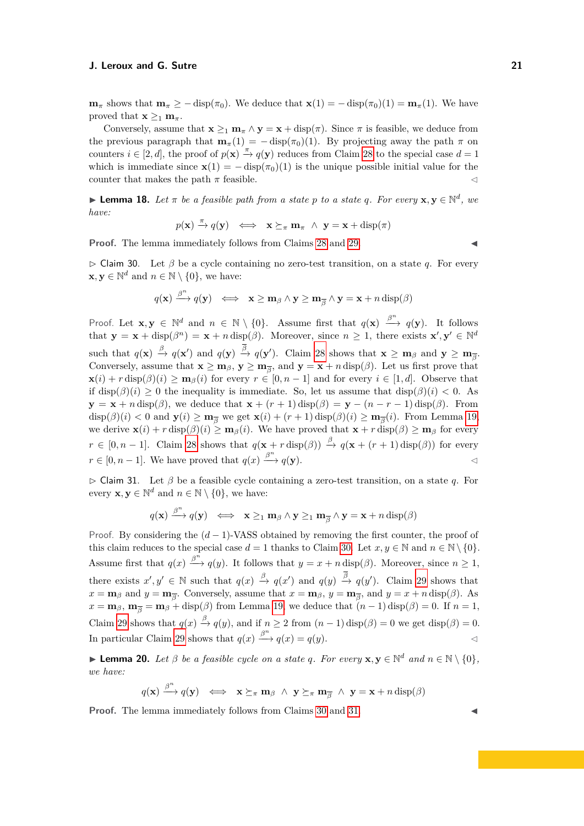**m**<sub>*π*</sub> shows that  $\mathbf{m}_{\pi} \ge - \text{disp}(\pi_0)$ . We deduce that  $\mathbf{x}(1) = - \text{disp}(\pi_0)(1) = \mathbf{m}_{\pi}(1)$ . We have proved that  $\mathbf{x} \geq_1 \mathbf{m}_\pi$ .

Conversely, assume that  $\mathbf{x} >_1 \mathbf{m}_\pi \wedge \mathbf{y} = \mathbf{x} + \text{disp}(\pi)$ . Since  $\pi$  is feasible, we deduce from the previous paragraph that  $\mathbf{m}_{\pi}(1) = -\operatorname{disp}(\pi_0)(1)$ . By projecting away the path  $\pi$  on counters  $i \in [2, d]$ , the proof of  $p(\mathbf{x}) \stackrel{\pi}{\to} q(\mathbf{y})$  reduces from Claim [28](#page-19-0) to the special case  $d = 1$ which is immediate since  $\mathbf{x}(1) = -\operatorname{disp}(\pi_0)(1)$  is the unique possible initial value for the counter that makes the path  $\pi$  feasible.  $\lhd$ 

**Lemma 18.** Let  $\pi$  be a feasible path from a state p to a state q. For every  $\mathbf{x}, \mathbf{y} \in \mathbb{N}^d$ , we *have:*

$$
p(\mathbf{x}) \xrightarrow{\pi} q(\mathbf{y}) \iff \mathbf{x} \succeq_{\pi} \mathbf{m}_{\pi} \land \mathbf{y} = \mathbf{x} + \text{disp}(\pi)
$$

**Proof.** The lemma immediately follows from Claims [28](#page-19-0) and [29.](#page-19-1)

<span id="page-20-0"></span>B Claim 30. Let *β* be a cycle containing no zero-test transition, on a state *q*. For every  $\mathbf{x}, \mathbf{y} \in \mathbb{N}^d$  and  $n \in \mathbb{N} \setminus \{0\}$ , we have:

$$
q(\mathbf{x}) \xrightarrow{\beta^n} q(\mathbf{y}) \iff \mathbf{x} \ge \mathbf{m}_{\beta} \land \mathbf{y} \ge \mathbf{m}_{\overline{\beta}} \land \mathbf{y} = \mathbf{x} + n \operatorname{disp}(\beta)
$$

Proof. Let  $\mathbf{x}, \mathbf{y} \in \mathbb{N}^d$  and  $n \in \mathbb{N} \setminus \{0\}$ . Assume first that  $q(\mathbf{x}) \stackrel{\beta^n}{\longrightarrow} q(\mathbf{y})$ . It follows that  $\mathbf{y} = \mathbf{x} + \text{disp}(\beta^n) = \mathbf{x} + n \text{ disp}(\beta)$ . Moreover, since  $n \geq 1$ , there exists  $\mathbf{x}', \mathbf{y}' \in \mathbb{N}^d$  $\sup_{\mathcal{A}} \Phi(\mathbf{x}) \xrightarrow{\beta} q(\mathbf{x}') \text{ and } q(\mathbf{y}) \xrightarrow{\beta} q(\mathbf{y}').$  Claim [28](#page-19-0) shows that  $\mathbf{x} \geq \mathbf{m}_{\beta}$  and  $\mathbf{y} \geq \mathbf{m}_{\overline{\beta}}.$ Conversely, assume that  $\mathbf{x} \ge \mathbf{m}_{\beta}$ ,  $\mathbf{y} \ge \mathbf{m}_{\overline{\beta}}$ , and  $\mathbf{y} = \mathbf{x} + n \operatorname{disp}(\beta)$ . Let us first prove that  $\mathbf{x}(i) + r \operatorname{disp}(\beta)(i) \ge \mathbf{m}_{\beta}(i)$  for every  $r \in [0, n-1]$  and for every  $i \in [1, d]$ . Observe that if  $\text{disp}(\beta)(i) \geq 0$  the inequality is immediate. So, let us assume that  $\text{disp}(\beta)(i) < 0$ . As  $\mathbf{y} = \mathbf{x} + n \operatorname{disp}(\beta)$ , we deduce that  $\mathbf{x} + (r+1) \operatorname{disp}(\beta) = \mathbf{y} - (n-r-1) \operatorname{disp}(\beta)$ . From  $\text{disp}(\beta)(i) < 0$  and  $\mathbf{y}(i) \ge \mathbf{m}_{\overline{\beta}}$  we get  $\mathbf{x}(i) + (r+1) \cdot \text{disp}(\beta)(i) \ge \mathbf{m}_{\overline{\beta}}(i)$ . From Lemma [19,](#page-12-3) we derive  $\mathbf{x}(i) + r \operatorname{disp}(\beta)(i) \geq \mathbf{m}_{\beta}(i)$ . We have proved that  $\mathbf{x} + r \operatorname{disp}(\beta) \geq \mathbf{m}_{\beta}$  for every  $r \in [0, n-1]$ . Claim [28](#page-19-0) shows that  $q(\mathbf{x} + r \operatorname{disp}(\beta)) \stackrel{\beta}{\rightarrow} q(\mathbf{x} + (r+1) \operatorname{disp}(\beta))$  for every  $r \in [0, n-1]$ . We have proved that  $q(x) \xrightarrow{\beta^n} q(y)$ .

<span id="page-20-1"></span>B Claim 31. Let *β* be a feasible cycle containing a zero-test transition, on a state *q*. For every  $\mathbf{x}, \mathbf{y} \in \mathbb{N}^d$  and  $n \in \mathbb{N} \setminus \{0\}$ , we have:

$$
q(\mathbf{x}) \xrightarrow{\beta^n} q(\mathbf{y}) \iff \mathbf{x} \geq_1 \mathbf{m}_{\beta} \land \mathbf{y} \geq_1 \mathbf{m}_{\overline{\beta}} \land \mathbf{y} = \mathbf{x} + n \operatorname{disp}(\beta)
$$

Proof. By considering the (*d* − 1)-VASS obtained by removing the first counter, the proof of this claim reduces to the special case  $d = 1$  thanks to Claim [30.](#page-20-0) Let  $x, y \in \mathbb{N}$  and  $n \in \mathbb{N} \setminus \{0\}.$ Assume first that  $q(x) \stackrel{\beta^n}{\longrightarrow} q(y)$ . It follows that  $y = x + n \operatorname{disp}(\beta)$ . Moreover, since  $n \ge 1$ , there exists  $x', y' \in \mathbb{N}$  such that  $q(x) \stackrel{\beta}{\to} q(x')$  and  $q(y) \stackrel{\beta}{\to} q(y')$ . Claim [29](#page-19-1) shows that  $x = \mathbf{m}_{\beta}$  and  $y = \mathbf{m}_{\overline{\beta}}$ . Conversely, assume that  $x = \mathbf{m}_{\beta}$ ,  $y = \mathbf{m}_{\overline{\beta}}$ , and  $y = x + n \operatorname{disp}(\beta)$ . As  $x = \mathbf{m}_{\beta}$ ,  $\mathbf{m}_{\overline{\beta}} = \mathbf{m}_{\beta} + \text{disp}(\beta)$  from Lemma [19,](#page-12-3) we deduce that  $(n-1)\text{ disp}(\beta) = 0$ . If  $n = 1$ , Claim [29](#page-19-1) shows that  $q(x) \stackrel{\beta}{\rightarrow} q(y)$ , and if  $n \ge 2$  from  $(n-1) \operatorname{disp}(\beta) = 0$  we get  $\operatorname{disp}(\beta) = 0$ . In particular Claim [29](#page-19-1) shows that  $q(x) \stackrel{\beta^n}{\longrightarrow} q(x) = q(y)$ .

**Example 20.** *Let*  $\beta$  *be a feasible cycle on a state q. For every*  $\mathbf{x}, \mathbf{y} \in \mathbb{N}^d$  *and*  $n \in \mathbb{N} \setminus \{0\},\$ *we have:*

$$
q(\mathbf{x}) \xrightarrow{\beta^n} q(\mathbf{y}) \iff \mathbf{x} \succeq_{\pi} \mathbf{m}_{\beta} \land \mathbf{y} \succeq_{\pi} \mathbf{m}_{\overline{\beta}} \land \mathbf{y} = \mathbf{x} + n \operatorname{disp}(\beta)
$$

**Proof.** The lemma immediately follows from Claims [30](#page-20-0) and [31.](#page-20-1)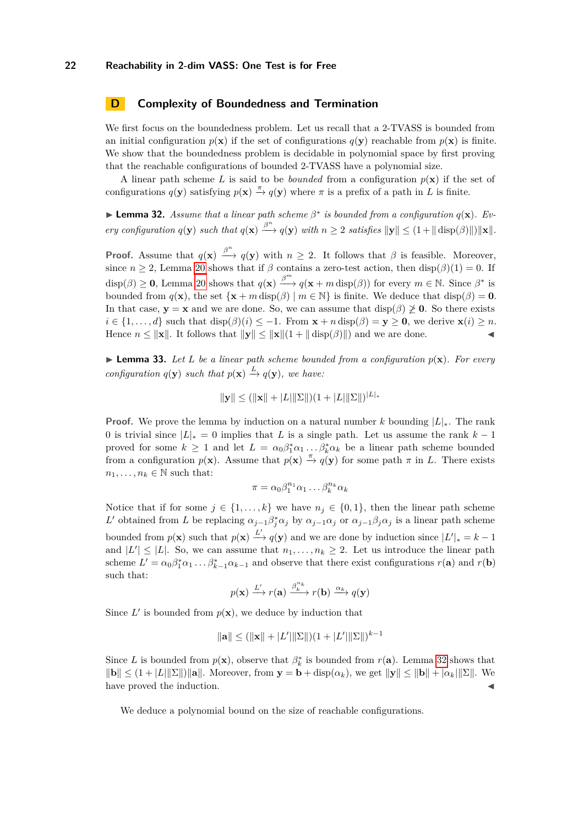# <span id="page-21-0"></span>**D Complexity of Boundedness and Termination**

We first focus on the boundedness problem. Let us recall that a 2-TVASS is bounded from an initial configuration  $p(\mathbf{x})$  if the set of configurations  $q(\mathbf{y})$  reachable from  $p(\mathbf{x})$  is finite. We show that the boundedness problem is decidable in polynomial space by first proving that the reachable configurations of bounded 2-TVASS have a polynomial size.

A linear path scheme L is said to be *bounded* from a configuration  $p(x)$  if the set of configurations  $q(\mathbf{y})$  satisfying  $p(\mathbf{x}) \stackrel{\pi}{\to} q(\mathbf{y})$  where  $\pi$  is a prefix of a path in *L* is finite.

<span id="page-21-1"></span>**Example 12.** Assume that a linear path scheme  $\beta^*$  is bounded from a configuration  $q(\mathbf{x})$ . Ev*ery configuration*  $q(\mathbf{y})$  *such that*  $q(\mathbf{x}) \xrightarrow{\beta^n} q(\mathbf{y})$  *with*  $n \geq 2$  *satisfies*  $\|\mathbf{y}\| \leq (1 + \|\text{disp}(\beta)\|) \|\mathbf{x}\|.$ 

**Proof.** Assume that  $q(\mathbf{x}) \stackrel{\beta^n}{\longrightarrow} q(\mathbf{y})$  with  $n \geq 2$ . It follows that  $\beta$  is feasible. Moreover, since  $n \geq 2$ , Lemma [20](#page-12-2) shows that if  $\beta$  contains a zero-test action, then disp( $\beta$ )(1) = 0. If  $\text{disp}(\beta) \geq 0$ , Lemma [20](#page-12-2) shows that  $q(\mathbf{x}) \stackrel{\beta^m}{\longrightarrow} q(\mathbf{x} + m \operatorname{disp}(\beta))$  for every  $m \in \mathbb{N}$ . Since  $\beta^*$  is bounded from  $q(\mathbf{x})$ , the set  $\{\mathbf{x} + m \operatorname{disp}(\beta) \mid m \in \mathbb{N}\}\$ is finite. We deduce that  $\operatorname{disp}(\beta) = \mathbf{0}$ . In that case,  $y = x$  and we are done. So, we can assume that  $\text{disp}(\beta) \ngeq 0$ . So there exists  $i \in \{1, \ldots, d\}$  such that  $\text{disp}(\beta)(i) \leq -1$ . From  $\mathbf{x} + n \cdot \text{disp}(\beta) = \mathbf{y} \geq \mathbf{0}$ , we derive  $\mathbf{x}(i) \geq n$ . Hence  $n \leq ||\mathbf{x}||$ . It follows that  $||\mathbf{y}|| \leq ||\mathbf{x}||(1 + ||\operatorname{disp}(\beta)||)$  and we are done.

<span id="page-21-2"></span> $\blacktriangleright$  **Lemma 33.** Let *L* be a linear path scheme bounded from a configuration  $p(\mathbf{x})$ . For every *configuration*  $q(\mathbf{y})$  *such that*  $p(\mathbf{x}) \xrightarrow{L} q(\mathbf{y})$ *, we have:* 

$$
\|\mathbf{y}\| \le (\|\mathbf{x}\| + |L|\|\Sigma\|)(1 + |L|\|\Sigma\|)^{|L|_*}
$$

**Proof.** We prove the lemma by induction on a natural number *k* bounding |*L*|∗. The rank 0 is trivial since  $|L|_* = 0$  implies that *L* is a single path. Let us assume the rank  $k-1$ proved for some  $k \geq 1$  and let  $L = \alpha_0 \beta_1^* \alpha_1 \dots \beta_k^* \alpha_k$  be a linear path scheme bounded from a configuration  $p(\mathbf{x})$ . Assume that  $p(\mathbf{x}) \stackrel{\pi}{\to} q(\mathbf{y})$  for some path  $\pi$  in *L*. There exists  $n_1, \ldots, n_k \in \mathbb{N}$  such that:

$$
\pi = \alpha_0 \beta_1^{n_1} \alpha_1 \dots \beta_k^{n_k} \alpha_k
$$

Notice that if for some  $j \in \{1, ..., k\}$  we have  $n_j \in \{0, 1\}$ , then the linear path scheme *L*<sup>'</sup> obtained from *L* be replacing  $\alpha_{j-1}\beta_j^*\alpha_j$  by  $\alpha_{j-1}\alpha_j$  or  $\alpha_{j-1}\beta_j\alpha_j$  is a linear path scheme bounded from  $p(\mathbf{x})$  such that  $p(\mathbf{x}) \xrightarrow{L'} q(\mathbf{y})$  and we are done by induction since  $|L'|_* = k - 1$ and  $|L'| \leq |L|$ . So, we can assume that  $n_1, \ldots, n_k \geq 2$ . Let us introduce the linear path scheme  $L' = \alpha_0 \beta_1^* \alpha_1 \dots \beta_{k-1}^* \alpha_{k-1}$  and observe that there exist configurations  $r(\mathbf{a})$  and  $r(\mathbf{b})$ such that:

$$
p(\mathbf{x}) \xrightarrow{L'} r(\mathbf{a}) \xrightarrow{\beta_k^{n_k}} r(\mathbf{b}) \xrightarrow{\alpha_k} q(\mathbf{y})
$$

Since  $L'$  is bounded from  $p(\mathbf{x})$ , we deduce by induction that

$$
\|\mathbf{a}\| \le (\|\mathbf{x}\| + |L'\|\|\Sigma\|)(1 + |L'\|\|\Sigma\|)^{k-1}
$$

Since *L* is bounded from  $p(\mathbf{x})$ , observe that  $\beta_k^*$  is bounded from  $r(\mathbf{a})$ . Lemma [32](#page-21-1) shows that  $||\mathbf{b}|| \leq (1 + |L||\mathbf{\Sigma}||)\|\mathbf{a}\|.$  Moreover, from  $\mathbf{y} = \mathbf{b} + \text{disp}(\alpha_k)$ , we get  $||\mathbf{y}|| \leq ||\mathbf{b}|| + |\alpha_k||\mathbf{\Sigma}||.$  We have proved the induction.

<span id="page-21-3"></span>We deduce a polynomial bound on the size of reachable configurations.